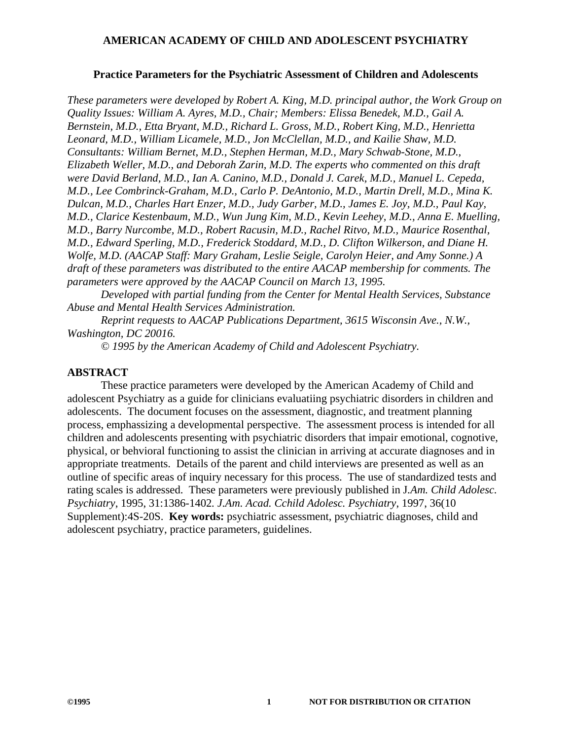## **Practice Parameters for the Psychiatric Assessment of Children and Adolescents**

*These parameters were developed by Robert A. King, M.D. principal author, the Work Group on Quality Issues: William A. Ayres, M.D., Chair; Members: Elissa Benedek, M.D., Gail A. Bernstein, M.D., Etta Bryant, M.D., Richard L. Gross, M.D., Robert King, M.D., Henrietta Leonard, M.D., William Licamele, M.D., Jon McClellan, M.D., and Kailie Shaw, M.D. Consultants: William Bernet, M.D., Stephen Herman, M.D., Mary Schwab-Stone, M.D., Elizabeth Weller, M.D., and Deborah Zarin, M.D. The experts who commented on this draft were David Berland, M.D., Ian A. Canino, M.D., Donald J. Carek, M.D., Manuel L. Cepeda, M.D., Lee Combrinck-Graham, M.D., Carlo P. DeAntonio, M.D., Martin Drell, M.D., Mina K. Dulcan, M.D., Charles Hart Enzer, M.D., Judy Garber, M.D., James E. Joy, M.D., Paul Kay, M.D., Clarice Kestenbaum, M.D., Wun Jung Kim, M.D., Kevin Leehey, M.D., Anna E. Muelling, M.D., Barry Nurcombe, M.D., Robert Racusin, M.D., Rachel Ritvo, M.D., Maurice Rosenthal, M.D., Edward Sperling, M.D., Frederick Stoddard, M.D., D. Clifton Wilkerson, and Diane H. Wolfe, M.D. (AACAP Staff: Mary Graham, Leslie Seigle, Carolyn Heier, and Amy Sonne.) A draft of these parameters was distributed to the entire AACAP membership for comments. The parameters were approved by the AACAP Council on March 13, 1995.* 

*Developed with partial funding from the Center for Mental Health Services, Substance Abuse and Mental Health Services Administration.* 

*Reprint requests to AACAP Publications Department, 3615 Wisconsin Ave., N.W., Washington, DC 20016.* 

*© 1995 by the American Academy of Child and Adolescent Psychiatry.*

## **ABSTRACT**

These practice parameters were developed by the American Academy of Child and adolescent Psychiatry as a guide for clinicians evaluatiing psychiatric disorders in children and adolescents. The document focuses on the assessment, diagnostic, and treatment planning process, emphassizing a developmental perspective. The assessment process is intended for all children and adolescents presenting with psychiatric disorders that impair emotional, cognotive, physical, or behvioral functioning to assist the clinician in arriving at accurate diagnoses and in appropriate treatments. Details of the parent and child interviews are presented as well as an outline of specific areas of inquiry necessary for this process. The use of standardized tests and rating scales is addressed. These parameters were previously published in J*.Am. Child Adolesc. Psychiatry*, 1995, 31:1386-1402*. J.Am. Acad. Cchild Adolesc. Psychiatry*, 1997, 36(10 Supplement):4S-20S. **Key words:** psychiatric assessment, psychiatric diagnoses, child and adolescent psychiatry, practice parameters, guidelines.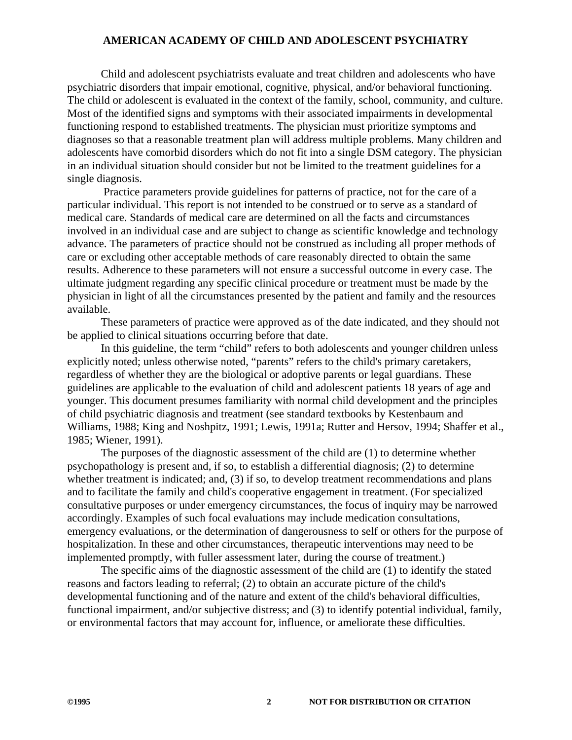Child and adolescent psychiatrists evaluate and treat children and adolescents who have psychiatric disorders that impair emotional, cognitive, physical, and/or behavioral functioning. The child or adolescent is evaluated in the context of the family, school, community, and culture. Most of the identified signs and symptoms with their associated impairments in developmental functioning respond to established treatments. The physician must prioritize symptoms and diagnoses so that a reasonable treatment plan will address multiple problems. Many children and adolescents have comorbid disorders which do not fit into a single DSM category. The physician in an individual situation should consider but not be limited to the treatment guidelines for a single diagnosis.

 Practice parameters provide guidelines for patterns of practice, not for the care of a particular individual. This report is not intended to be construed or to serve as a standard of medical care. Standards of medical care are determined on all the facts and circumstances involved in an individual case and are subject to change as scientific knowledge and technology advance. The parameters of practice should not be construed as including all proper methods of care or excluding other acceptable methods of care reasonably directed to obtain the same results. Adherence to these parameters will not ensure a successful outcome in every case. The ultimate judgment regarding any specific clinical procedure or treatment must be made by the physician in light of all the circumstances presented by the patient and family and the resources available.

These parameters of practice were approved as of the date indicated, and they should not be applied to clinical situations occurring before that date.

In this guideline, the term "child" refers to both adolescents and younger children unless explicitly noted; unless otherwise noted, "parents" refers to the child's primary caretakers, regardless of whether they are the biological or adoptive parents or legal guardians. These guidelines are applicable to the evaluation of child and adolescent patients 18 years of age and younger. This document presumes familiarity with normal child development and the principles of child psychiatric diagnosis and treatment (see standard textbooks by Kestenbaum and Williams, 1988; King and Noshpitz, 1991; Lewis, 1991a; Rutter and Hersov, 1994; Shaffer et al., 1985; Wiener, 1991).

The purposes of the diagnostic assessment of the child are (1) to determine whether psychopathology is present and, if so, to establish a differential diagnosis; (2) to determine whether treatment is indicated; and, (3) if so, to develop treatment recommendations and plans and to facilitate the family and child's cooperative engagement in treatment. (For specialized consultative purposes or under emergency circumstances, the focus of inquiry may be narrowed accordingly. Examples of such focal evaluations may include medication consultations, emergency evaluations, or the determination of dangerousness to self or others for the purpose of hospitalization. In these and other circumstances, therapeutic interventions may need to be implemented promptly, with fuller assessment later, during the course of treatment.)

The specific aims of the diagnostic assessment of the child are (1) to identify the stated reasons and factors leading to referral; (2) to obtain an accurate picture of the child's developmental functioning and of the nature and extent of the child's behavioral difficulties, functional impairment, and/or subjective distress; and (3) to identify potential individual, family, or environmental factors that may account for, influence, or ameliorate these difficulties.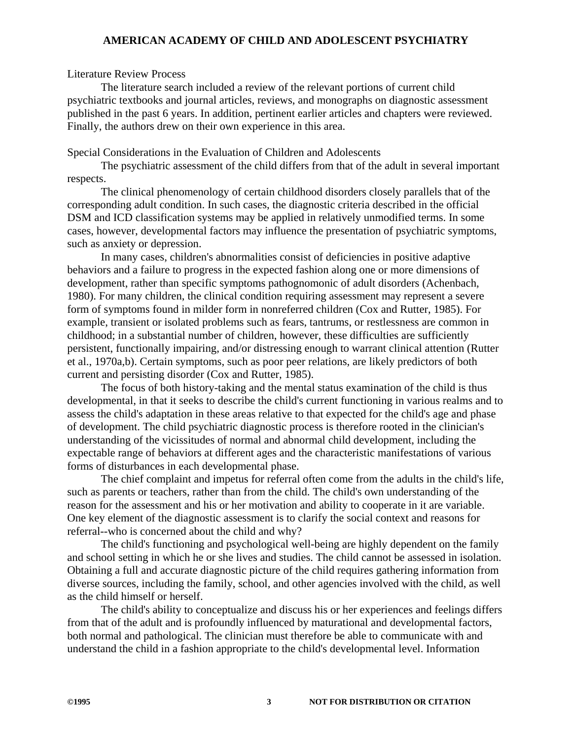### Literature Review Process

 The literature search included a review of the relevant portions of current child psychiatric textbooks and journal articles, reviews, and monographs on diagnostic assessment published in the past 6 years. In addition, pertinent earlier articles and chapters were reviewed. Finally, the authors drew on their own experience in this area.

Special Considerations in the Evaluation of Children and Adolescents

The psychiatric assessment of the child differs from that of the adult in several important respects.

The clinical phenomenology of certain childhood disorders closely parallels that of the corresponding adult condition. In such cases, the diagnostic criteria described in the official DSM and ICD classification systems may be applied in relatively unmodified terms. In some cases, however, developmental factors may influence the presentation of psychiatric symptoms, such as anxiety or depression.

In many cases, children's abnormalities consist of deficiencies in positive adaptive behaviors and a failure to progress in the expected fashion along one or more dimensions of development, rather than specific symptoms pathognomonic of adult disorders (Achenbach, 1980). For many children, the clinical condition requiring assessment may represent a severe form of symptoms found in milder form in nonreferred children (Cox and Rutter, 1985). For example, transient or isolated problems such as fears, tantrums, or restlessness are common in childhood; in a substantial number of children, however, these difficulties are sufficiently persistent, functionally impairing, and/or distressing enough to warrant clinical attention (Rutter et al., 1970a,b). Certain symptoms, such as poor peer relations, are likely predictors of both current and persisting disorder (Cox and Rutter, 1985).

The focus of both history-taking and the mental status examination of the child is thus developmental, in that it seeks to describe the child's current functioning in various realms and to assess the child's adaptation in these areas relative to that expected for the child's age and phase of development. The child psychiatric diagnostic process is therefore rooted in the clinician's understanding of the vicissitudes of normal and abnormal child development, including the expectable range of behaviors at different ages and the characteristic manifestations of various forms of disturbances in each developmental phase.

The chief complaint and impetus for referral often come from the adults in the child's life, such as parents or teachers, rather than from the child. The child's own understanding of the reason for the assessment and his or her motivation and ability to cooperate in it are variable. One key element of the diagnostic assessment is to clarify the social context and reasons for referral--who is concerned about the child and why?

The child's functioning and psychological well-being are highly dependent on the family and school setting in which he or she lives and studies. The child cannot be assessed in isolation. Obtaining a full and accurate diagnostic picture of the child requires gathering information from diverse sources, including the family, school, and other agencies involved with the child, as well as the child himself or herself.

The child's ability to conceptualize and discuss his or her experiences and feelings differs from that of the adult and is profoundly influenced by maturational and developmental factors, both normal and pathological. The clinician must therefore be able to communicate with and understand the child in a fashion appropriate to the child's developmental level. Information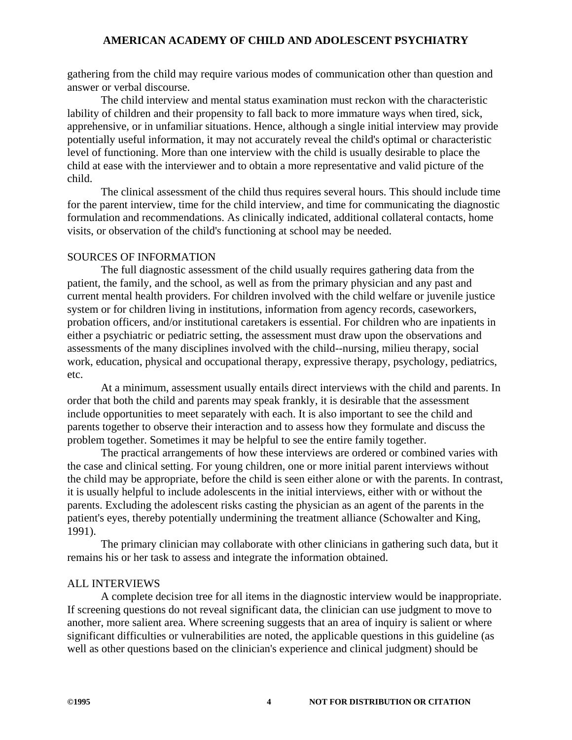gathering from the child may require various modes of communication other than question and answer or verbal discourse.

The child interview and mental status examination must reckon with the characteristic lability of children and their propensity to fall back to more immature ways when tired, sick, apprehensive, or in unfamiliar situations. Hence, although a single initial interview may provide potentially useful information, it may not accurately reveal the child's optimal or characteristic level of functioning. More than one interview with the child is usually desirable to place the child at ease with the interviewer and to obtain a more representative and valid picture of the child.

The clinical assessment of the child thus requires several hours. This should include time for the parent interview, time for the child interview, and time for communicating the diagnostic formulation and recommendations. As clinically indicated, additional collateral contacts, home visits, or observation of the child's functioning at school may be needed.

## SOURCES OF INFORMATION

The full diagnostic assessment of the child usually requires gathering data from the patient, the family, and the school, as well as from the primary physician and any past and current mental health providers. For children involved with the child welfare or juvenile justice system or for children living in institutions, information from agency records, caseworkers, probation officers, and/or institutional caretakers is essential. For children who are inpatients in either a psychiatric or pediatric setting, the assessment must draw upon the observations and assessments of the many disciplines involved with the child--nursing, milieu therapy, social work, education, physical and occupational therapy, expressive therapy, psychology, pediatrics, etc.

At a minimum, assessment usually entails direct interviews with the child and parents. In order that both the child and parents may speak frankly, it is desirable that the assessment include opportunities to meet separately with each. It is also important to see the child and parents together to observe their interaction and to assess how they formulate and discuss the problem together. Sometimes it may be helpful to see the entire family together.

The practical arrangements of how these interviews are ordered or combined varies with the case and clinical setting. For young children, one or more initial parent interviews without the child may be appropriate, before the child is seen either alone or with the parents. In contrast, it is usually helpful to include adolescents in the initial interviews, either with or without the parents. Excluding the adolescent risks casting the physician as an agent of the parents in the patient's eyes, thereby potentially undermining the treatment alliance (Schowalter and King, 1991).

The primary clinician may collaborate with other clinicians in gathering such data, but it remains his or her task to assess and integrate the information obtained.

### ALL INTERVIEWS

A complete decision tree for all items in the diagnostic interview would be inappropriate. If screening questions do not reveal significant data, the clinician can use judgment to move to another, more salient area. Where screening suggests that an area of inquiry is salient or where significant difficulties or vulnerabilities are noted, the applicable questions in this guideline (as well as other questions based on the clinician's experience and clinical judgment) should be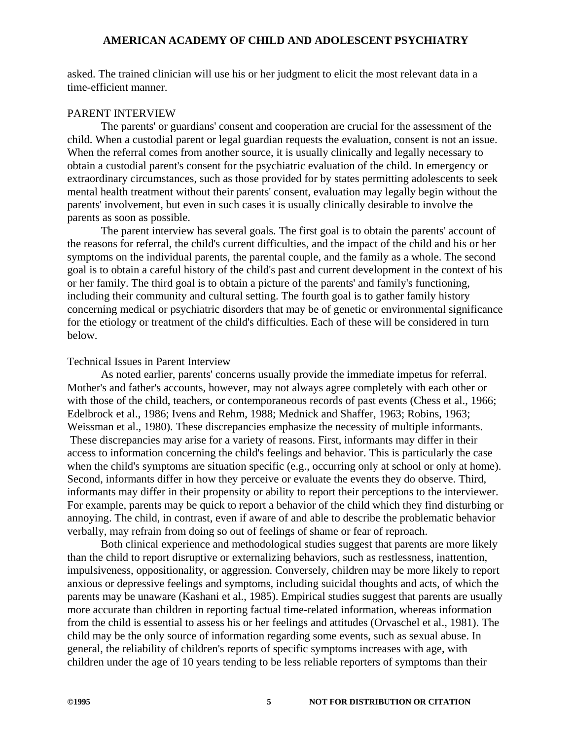asked. The trained clinician will use his or her judgment to elicit the most relevant data in a time-efficient manner.

### PARENT INTERVIEW

The parents' or guardians' consent and cooperation are crucial for the assessment of the child. When a custodial parent or legal guardian requests the evaluation, consent is not an issue. When the referral comes from another source, it is usually clinically and legally necessary to obtain a custodial parent's consent for the psychiatric evaluation of the child. In emergency or extraordinary circumstances, such as those provided for by states permitting adolescents to seek mental health treatment without their parents' consent, evaluation may legally begin without the parents' involvement, but even in such cases it is usually clinically desirable to involve the parents as soon as possible.

The parent interview has several goals. The first goal is to obtain the parents' account of the reasons for referral, the child's current difficulties, and the impact of the child and his or her symptoms on the individual parents, the parental couple, and the family as a whole. The second goal is to obtain a careful history of the child's past and current development in the context of his or her family. The third goal is to obtain a picture of the parents' and family's functioning, including their community and cultural setting. The fourth goal is to gather family history concerning medical or psychiatric disorders that may be of genetic or environmental significance for the etiology or treatment of the child's difficulties. Each of these will be considered in turn below.

## Technical Issues in Parent Interview

As noted earlier, parents' concerns usually provide the immediate impetus for referral. Mother's and father's accounts, however, may not always agree completely with each other or with those of the child, teachers, or contemporaneous records of past events (Chess et al., 1966; Edelbrock et al., 1986; Ivens and Rehm, 1988; Mednick and Shaffer, 1963; Robins, 1963; Weissman et al., 1980). These discrepancies emphasize the necessity of multiple informants. These discrepancies may arise for a variety of reasons. First, informants may differ in their access to information concerning the child's feelings and behavior. This is particularly the case when the child's symptoms are situation specific (e.g., occurring only at school or only at home). Second, informants differ in how they perceive or evaluate the events they do observe. Third, informants may differ in their propensity or ability to report their perceptions to the interviewer. For example, parents may be quick to report a behavior of the child which they find disturbing or annoying. The child, in contrast, even if aware of and able to describe the problematic behavior verbally, may refrain from doing so out of feelings of shame or fear of reproach.

Both clinical experience and methodological studies suggest that parents are more likely than the child to report disruptive or externalizing behaviors, such as restlessness, inattention, impulsiveness, oppositionality, or aggression. Conversely, children may be more likely to report anxious or depressive feelings and symptoms, including suicidal thoughts and acts, of which the parents may be unaware (Kashani et al., 1985). Empirical studies suggest that parents are usually more accurate than children in reporting factual time-related information, whereas information from the child is essential to assess his or her feelings and attitudes (Orvaschel et al., 1981). The child may be the only source of information regarding some events, such as sexual abuse. In general, the reliability of children's reports of specific symptoms increases with age, with children under the age of 10 years tending to be less reliable reporters of symptoms than their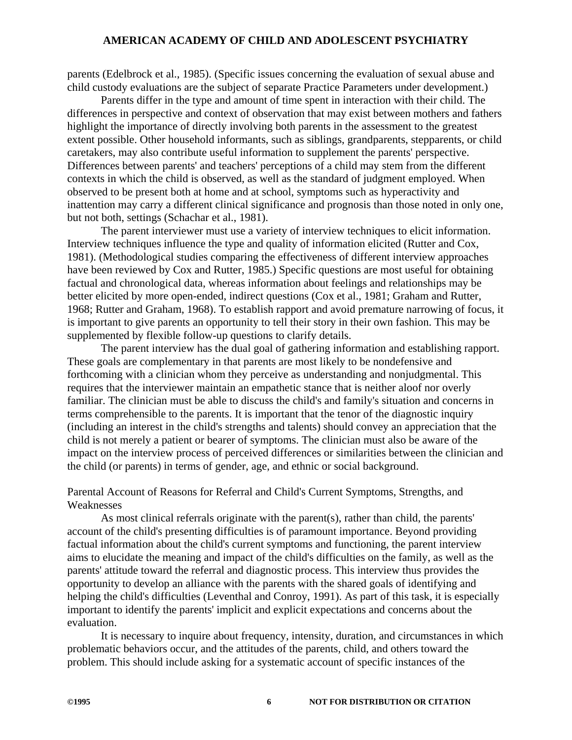parents (Edelbrock et al., 1985). (Specific issues concerning the evaluation of sexual abuse and child custody evaluations are the subject of separate Practice Parameters under development.)

Parents differ in the type and amount of time spent in interaction with their child. The differences in perspective and context of observation that may exist between mothers and fathers highlight the importance of directly involving both parents in the assessment to the greatest extent possible. Other household informants, such as siblings, grandparents, stepparents, or child caretakers, may also contribute useful information to supplement the parents' perspective. Differences between parents' and teachers' perceptions of a child may stem from the different contexts in which the child is observed, as well as the standard of judgment employed. When observed to be present both at home and at school, symptoms such as hyperactivity and inattention may carry a different clinical significance and prognosis than those noted in only one, but not both, settings (Schachar et al., 1981).

The parent interviewer must use a variety of interview techniques to elicit information. Interview techniques influence the type and quality of information elicited (Rutter and Cox, 1981). (Methodological studies comparing the effectiveness of different interview approaches have been reviewed by Cox and Rutter, 1985.) Specific questions are most useful for obtaining factual and chronological data, whereas information about feelings and relationships may be better elicited by more open-ended, indirect questions (Cox et al., 1981; Graham and Rutter, 1968; Rutter and Graham, 1968). To establish rapport and avoid premature narrowing of focus, it is important to give parents an opportunity to tell their story in their own fashion. This may be supplemented by flexible follow-up questions to clarify details.

The parent interview has the dual goal of gathering information and establishing rapport. These goals are complementary in that parents are most likely to be nondefensive and forthcoming with a clinician whom they perceive as understanding and nonjudgmental. This requires that the interviewer maintain an empathetic stance that is neither aloof nor overly familiar. The clinician must be able to discuss the child's and family's situation and concerns in terms comprehensible to the parents. It is important that the tenor of the diagnostic inquiry (including an interest in the child's strengths and talents) should convey an appreciation that the child is not merely a patient or bearer of symptoms. The clinician must also be aware of the impact on the interview process of perceived differences or similarities between the clinician and the child (or parents) in terms of gender, age, and ethnic or social background.

Parental Account of Reasons for Referral and Child's Current Symptoms, Strengths, and Weaknesses

As most clinical referrals originate with the parent(s), rather than child, the parents' account of the child's presenting difficulties is of paramount importance. Beyond providing factual information about the child's current symptoms and functioning, the parent interview aims to elucidate the meaning and impact of the child's difficulties on the family, as well as the parents' attitude toward the referral and diagnostic process. This interview thus provides the opportunity to develop an alliance with the parents with the shared goals of identifying and helping the child's difficulties (Leventhal and Conroy, 1991). As part of this task, it is especially important to identify the parents' implicit and explicit expectations and concerns about the evaluation.

It is necessary to inquire about frequency, intensity, duration, and circumstances in which problematic behaviors occur, and the attitudes of the parents, child, and others toward the problem. This should include asking for a systematic account of specific instances of the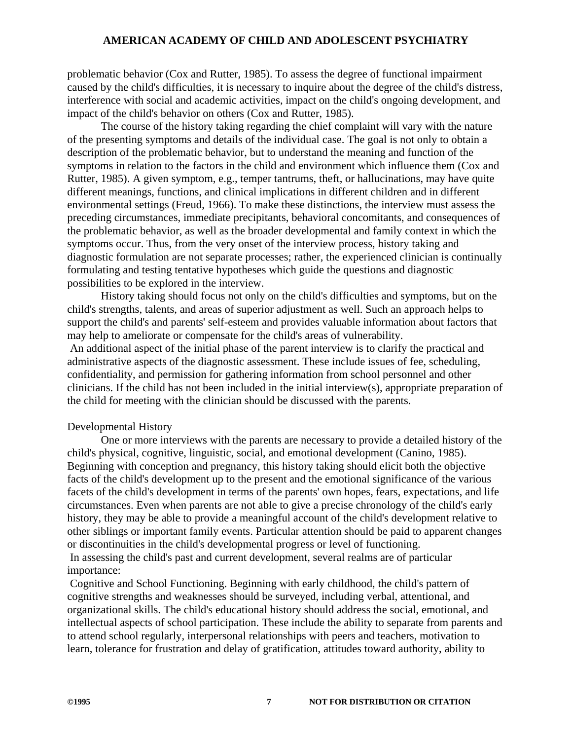problematic behavior (Cox and Rutter, 1985). To assess the degree of functional impairment caused by the child's difficulties, it is necessary to inquire about the degree of the child's distress, interference with social and academic activities, impact on the child's ongoing development, and impact of the child's behavior on others (Cox and Rutter, 1985).

The course of the history taking regarding the chief complaint will vary with the nature of the presenting symptoms and details of the individual case. The goal is not only to obtain a description of the problematic behavior, but to understand the meaning and function of the symptoms in relation to the factors in the child and environment which influence them (Cox and Rutter, 1985). A given symptom, e.g., temper tantrums, theft, or hallucinations, may have quite different meanings, functions, and clinical implications in different children and in different environmental settings (Freud, 1966). To make these distinctions, the interview must assess the preceding circumstances, immediate precipitants, behavioral concomitants, and consequences of the problematic behavior, as well as the broader developmental and family context in which the symptoms occur. Thus, from the very onset of the interview process, history taking and diagnostic formulation are not separate processes; rather, the experienced clinician is continually formulating and testing tentative hypotheses which guide the questions and diagnostic possibilities to be explored in the interview.

History taking should focus not only on the child's difficulties and symptoms, but on the child's strengths, talents, and areas of superior adjustment as well. Such an approach helps to support the child's and parents' self-esteem and provides valuable information about factors that may help to ameliorate or compensate for the child's areas of vulnerability.

 An additional aspect of the initial phase of the parent interview is to clarify the practical and administrative aspects of the diagnostic assessment. These include issues of fee, scheduling, confidentiality, and permission for gathering information from school personnel and other clinicians. If the child has not been included in the initial interview(s), appropriate preparation of the child for meeting with the clinician should be discussed with the parents.

### Developmental History

One or more interviews with the parents are necessary to provide a detailed history of the child's physical, cognitive, linguistic, social, and emotional development (Canino, 1985). Beginning with conception and pregnancy, this history taking should elicit both the objective facts of the child's development up to the present and the emotional significance of the various facets of the child's development in terms of the parents' own hopes, fears, expectations, and life circumstances. Even when parents are not able to give a precise chronology of the child's early history, they may be able to provide a meaningful account of the child's development relative to other siblings or important family events. Particular attention should be paid to apparent changes or discontinuities in the child's developmental progress or level of functioning. In assessing the child's past and current development, several realms are of particular

importance:

 Cognitive and School Functioning. Beginning with early childhood, the child's pattern of cognitive strengths and weaknesses should be surveyed, including verbal, attentional, and organizational skills. The child's educational history should address the social, emotional, and intellectual aspects of school participation. These include the ability to separate from parents and to attend school regularly, interpersonal relationships with peers and teachers, motivation to learn, tolerance for frustration and delay of gratification, attitudes toward authority, ability to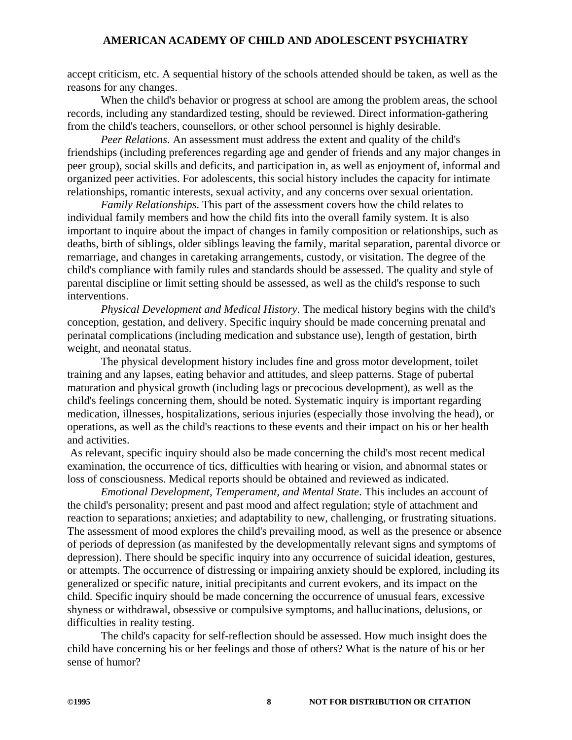accept criticism, etc. A sequential history of the schools attended should be taken, as well as the reasons for any changes.

When the child's behavior or progress at school are among the problem areas, the school records, including any standardized testing, should be reviewed. Direct information-gathering from the child's teachers, counsellors, or other school personnel is highly desirable.

*Peer Relations*. An assessment must address the extent and quality of the child's friendships (including preferences regarding age and gender of friends and any major changes in peer group), social skills and deficits, and participation in, as well as enjoyment of, informal and organized peer activities. For adolescents, this social history includes the capacity for intimate relationships, romantic interests, sexual activity, and any concerns over sexual orientation.

*Family Relationships*. This part of the assessment covers how the child relates to individual family members and how the child fits into the overall family system. It is also important to inquire about the impact of changes in family composition or relationships, such as deaths, birth of siblings, older siblings leaving the family, marital separation, parental divorce or remarriage, and changes in caretaking arrangements, custody, or visitation. The degree of the child's compliance with family rules and standards should be assessed. The quality and style of parental discipline or limit setting should be assessed, as well as the child's response to such interventions.

*Physical Development and Medical History*. The medical history begins with the child's conception, gestation, and delivery. Specific inquiry should be made concerning prenatal and perinatal complications (including medication and substance use), length of gestation, birth weight, and neonatal status.

The physical development history includes fine and gross motor development, toilet training and any lapses, eating behavior and attitudes, and sleep patterns. Stage of pubertal maturation and physical growth (including lags or precocious development), as well as the child's feelings concerning them, should be noted. Systematic inquiry is important regarding medication, illnesses, hospitalizations, serious injuries (especially those involving the head), or operations, as well as the child's reactions to these events and their impact on his or her health and activities.

 As relevant, specific inquiry should also be made concerning the child's most recent medical examination, the occurrence of tics, difficulties with hearing or vision, and abnormal states or loss of consciousness. Medical reports should be obtained and reviewed as indicated.

*Emotional Development, Temperament, and Mental State*. This includes an account of the child's personality; present and past mood and affect regulation; style of attachment and reaction to separations; anxieties; and adaptability to new, challenging, or frustrating situations. The assessment of mood explores the child's prevailing mood, as well as the presence or absence of periods of depression (as manifested by the developmentally relevant signs and symptoms of depression). There should be specific inquiry into any occurrence of suicidal ideation, gestures, or attempts. The occurrence of distressing or impairing anxiety should be explored, including its generalized or specific nature, initial precipitants and current evokers, and its impact on the child. Specific inquiry should be made concerning the occurrence of unusual fears, excessive shyness or withdrawal, obsessive or compulsive symptoms, and hallucinations, delusions, or difficulties in reality testing.

The child's capacity for self-reflection should be assessed. How much insight does the child have concerning his or her feelings and those of others? What is the nature of his or her sense of humor?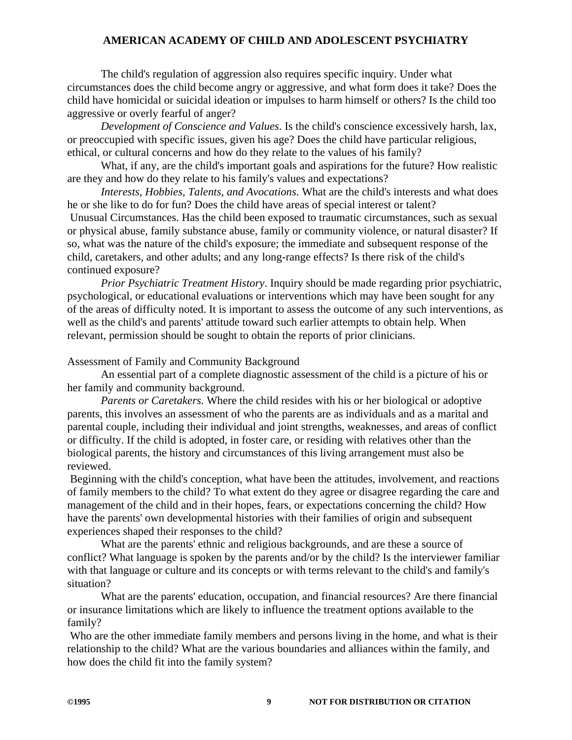The child's regulation of aggression also requires specific inquiry. Under what circumstances does the child become angry or aggressive, and what form does it take? Does the child have homicidal or suicidal ideation or impulses to harm himself or others? Is the child too aggressive or overly fearful of anger?

*Development of Conscience and Values*. Is the child's conscience excessively harsh, lax, or preoccupied with specific issues, given his age? Does the child have particular religious, ethical, or cultural concerns and how do they relate to the values of his family?

What, if any, are the child's important goals and aspirations for the future? How realistic are they and how do they relate to his family's values and expectations?

*Interests, Hobbies, Talents, and Avocations*. What are the child's interests and what does he or she like to do for fun? Does the child have areas of special interest or talent?

 Unusual Circumstances. Has the child been exposed to traumatic circumstances, such as sexual or physical abuse, family substance abuse, family or community violence, or natural disaster? If so, what was the nature of the child's exposure; the immediate and subsequent response of the child, caretakers, and other adults; and any long-range effects? Is there risk of the child's continued exposure?

*Prior Psychiatric Treatment History*. Inquiry should be made regarding prior psychiatric, psychological, or educational evaluations or interventions which may have been sought for any of the areas of difficulty noted. It is important to assess the outcome of any such interventions, as well as the child's and parents' attitude toward such earlier attempts to obtain help. When relevant, permission should be sought to obtain the reports of prior clinicians.

Assessment of Family and Community Background

An essential part of a complete diagnostic assessment of the child is a picture of his or her family and community background.

*Parents or Caretakers.* Where the child resides with his or her biological or adoptive parents, this involves an assessment of who the parents are as individuals and as a marital and parental couple, including their individual and joint strengths, weaknesses, and areas of conflict or difficulty. If the child is adopted, in foster care, or residing with relatives other than the biological parents, the history and circumstances of this living arrangement must also be reviewed.

 Beginning with the child's conception, what have been the attitudes, involvement, and reactions of family members to the child? To what extent do they agree or disagree regarding the care and management of the child and in their hopes, fears, or expectations concerning the child? How have the parents' own developmental histories with their families of origin and subsequent experiences shaped their responses to the child?

What are the parents' ethnic and religious backgrounds, and are these a source of conflict? What language is spoken by the parents and/or by the child? Is the interviewer familiar with that language or culture and its concepts or with terms relevant to the child's and family's situation?

What are the parents' education, occupation, and financial resources? Are there financial or insurance limitations which are likely to influence the treatment options available to the family?

 Who are the other immediate family members and persons living in the home, and what is their relationship to the child? What are the various boundaries and alliances within the family, and how does the child fit into the family system?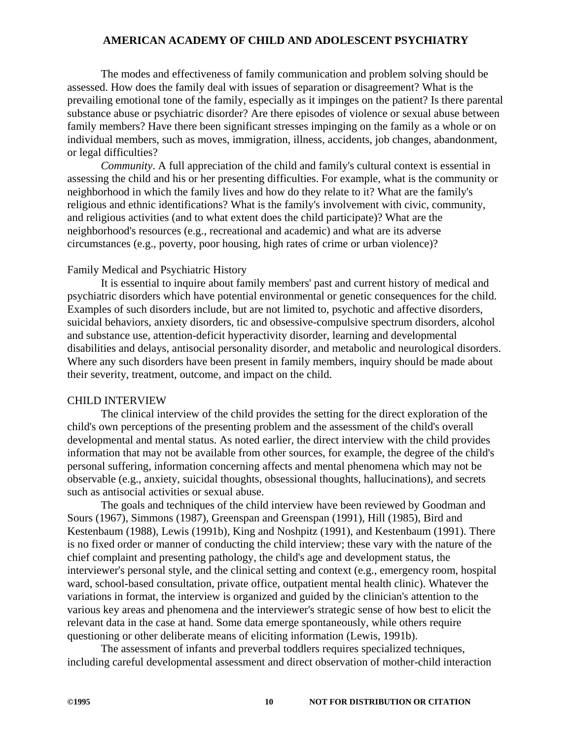The modes and effectiveness of family communication and problem solving should be assessed. How does the family deal with issues of separation or disagreement? What is the prevailing emotional tone of the family, especially as it impinges on the patient? Is there parental substance abuse or psychiatric disorder? Are there episodes of violence or sexual abuse between family members? Have there been significant stresses impinging on the family as a whole or on individual members, such as moves, immigration, illness, accidents, job changes, abandonment, or legal difficulties?

*Community*. A full appreciation of the child and family's cultural context is essential in assessing the child and his or her presenting difficulties. For example, what is the community or neighborhood in which the family lives and how do they relate to it? What are the family's religious and ethnic identifications? What is the family's involvement with civic, community, and religious activities (and to what extent does the child participate)? What are the neighborhood's resources (e.g., recreational and academic) and what are its adverse circumstances (e.g., poverty, poor housing, high rates of crime or urban violence)?

#### Family Medical and Psychiatric History

It is essential to inquire about family members' past and current history of medical and psychiatric disorders which have potential environmental or genetic consequences for the child. Examples of such disorders include, but are not limited to, psychotic and affective disorders, suicidal behaviors, anxiety disorders, tic and obsessive-compulsive spectrum disorders, alcohol and substance use, attention-deficit hyperactivity disorder, learning and developmental disabilities and delays, antisocial personality disorder, and metabolic and neurological disorders. Where any such disorders have been present in family members, inquiry should be made about their severity, treatment, outcome, and impact on the child.

### CHILD INTERVIEW

The clinical interview of the child provides the setting for the direct exploration of the child's own perceptions of the presenting problem and the assessment of the child's overall developmental and mental status. As noted earlier, the direct interview with the child provides information that may not be available from other sources, for example, the degree of the child's personal suffering, information concerning affects and mental phenomena which may not be observable (e.g., anxiety, suicidal thoughts, obsessional thoughts, hallucinations), and secrets such as antisocial activities or sexual abuse.

The goals and techniques of the child interview have been reviewed by Goodman and Sours (1967), Simmons (1987), Greenspan and Greenspan (1991), Hill (1985), Bird and Kestenbaum (1988), Lewis (1991b), King and Noshpitz (1991), and Kestenbaum (1991). There is no fixed order or manner of conducting the child interview; these vary with the nature of the chief complaint and presenting pathology, the child's age and development status, the interviewer's personal style, and the clinical setting and context (e.g., emergency room, hospital ward, school-based consultation, private office, outpatient mental health clinic). Whatever the variations in format, the interview is organized and guided by the clinician's attention to the various key areas and phenomena and the interviewer's strategic sense of how best to elicit the relevant data in the case at hand. Some data emerge spontaneously, while others require questioning or other deliberate means of eliciting information (Lewis, 1991b).

The assessment of infants and preverbal toddlers requires specialized techniques, including careful developmental assessment and direct observation of mother-child interaction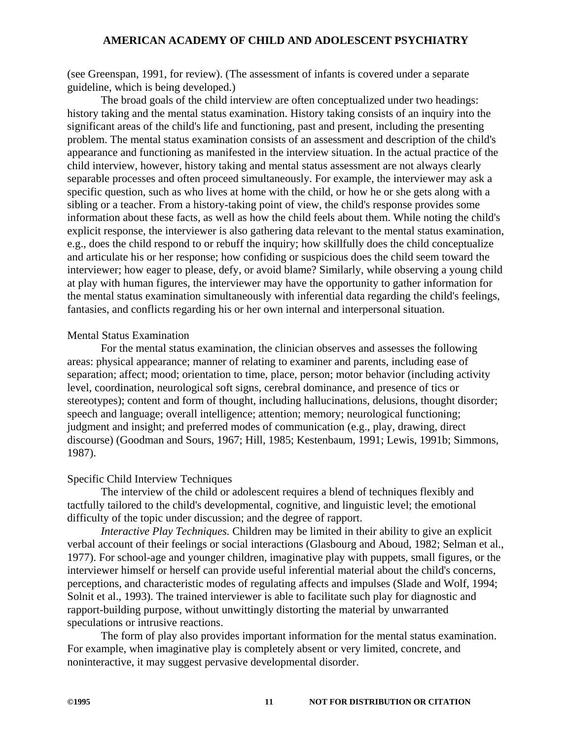(see Greenspan, 1991, for review). (The assessment of infants is covered under a separate guideline, which is being developed.)

The broad goals of the child interview are often conceptualized under two headings: history taking and the mental status examination. History taking consists of an inquiry into the significant areas of the child's life and functioning, past and present, including the presenting problem. The mental status examination consists of an assessment and description of the child's appearance and functioning as manifested in the interview situation. In the actual practice of the child interview, however, history taking and mental status assessment are not always clearly separable processes and often proceed simultaneously. For example, the interviewer may ask a specific question, such as who lives at home with the child, or how he or she gets along with a sibling or a teacher. From a history-taking point of view, the child's response provides some information about these facts, as well as how the child feels about them. While noting the child's explicit response, the interviewer is also gathering data relevant to the mental status examination, e.g., does the child respond to or rebuff the inquiry; how skillfully does the child conceptualize and articulate his or her response; how confiding or suspicious does the child seem toward the interviewer; how eager to please, defy, or avoid blame? Similarly, while observing a young child at play with human figures, the interviewer may have the opportunity to gather information for the mental status examination simultaneously with inferential data regarding the child's feelings, fantasies, and conflicts regarding his or her own internal and interpersonal situation.

## Mental Status Examination

For the mental status examination, the clinician observes and assesses the following areas: physical appearance; manner of relating to examiner and parents, including ease of separation; affect; mood; orientation to time, place, person; motor behavior (including activity level, coordination, neurological soft signs, cerebral dominance, and presence of tics or stereotypes); content and form of thought, including hallucinations, delusions, thought disorder; speech and language; overall intelligence; attention; memory; neurological functioning; judgment and insight; and preferred modes of communication (e.g., play, drawing, direct discourse) (Goodman and Sours, 1967; Hill, 1985; Kestenbaum, 1991; Lewis, 1991b; Simmons, 1987).

#### Specific Child Interview Techniques

The interview of the child or adolescent requires a blend of techniques flexibly and tactfully tailored to the child's developmental, cognitive, and linguistic level; the emotional difficulty of the topic under discussion; and the degree of rapport.

*Interactive Play Techniques.* Children may be limited in their ability to give an explicit verbal account of their feelings or social interactions (Glasbourg and Aboud, 1982; Selman et al., 1977). For school-age and younger children, imaginative play with puppets, small figures, or the interviewer himself or herself can provide useful inferential material about the child's concerns, perceptions, and characteristic modes of regulating affects and impulses (Slade and Wolf, 1994; Solnit et al., 1993). The trained interviewer is able to facilitate such play for diagnostic and rapport-building purpose, without unwittingly distorting the material by unwarranted speculations or intrusive reactions.

The form of play also provides important information for the mental status examination. For example, when imaginative play is completely absent or very limited, concrete, and noninteractive, it may suggest pervasive developmental disorder.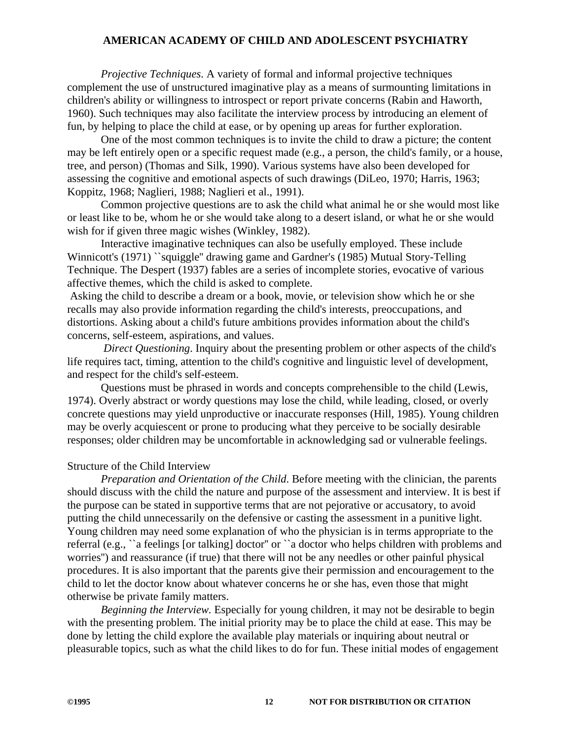*Projective Techniques*. A variety of formal and informal projective techniques complement the use of unstructured imaginative play as a means of surmounting limitations in children's ability or willingness to introspect or report private concerns (Rabin and Haworth, 1960). Such techniques may also facilitate the interview process by introducing an element of fun, by helping to place the child at ease, or by opening up areas for further exploration.

One of the most common techniques is to invite the child to draw a picture; the content may be left entirely open or a specific request made (e.g., a person, the child's family, or a house, tree, and person) (Thomas and Silk, 1990). Various systems have also been developed for assessing the cognitive and emotional aspects of such drawings (DiLeo, 1970; Harris, 1963; Koppitz, 1968; Naglieri, 1988; Naglieri et al., 1991).

Common projective questions are to ask the child what animal he or she would most like or least like to be, whom he or she would take along to a desert island, or what he or she would wish for if given three magic wishes (Winkley, 1982).

Interactive imaginative techniques can also be usefully employed. These include Winnicott's (1971) ``squiggle'' drawing game and Gardner's (1985) Mutual Story-Telling Technique. The Despert (1937) fables are a series of incomplete stories, evocative of various affective themes, which the child is asked to complete.

 Asking the child to describe a dream or a book, movie, or television show which he or she recalls may also provide information regarding the child's interests, preoccupations, and distortions. Asking about a child's future ambitions provides information about the child's concerns, self-esteem, aspirations, and values.

*Direct Questioning*. Inquiry about the presenting problem or other aspects of the child's life requires tact, timing, attention to the child's cognitive and linguistic level of development, and respect for the child's self-esteem.

Questions must be phrased in words and concepts comprehensible to the child (Lewis, 1974). Overly abstract or wordy questions may lose the child, while leading, closed, or overly concrete questions may yield unproductive or inaccurate responses (Hill, 1985). Young children may be overly acquiescent or prone to producing what they perceive to be socially desirable responses; older children may be uncomfortable in acknowledging sad or vulnerable feelings.

### Structure of the Child Interview

*Preparation and Orientation of the Child*. Before meeting with the clinician, the parents should discuss with the child the nature and purpose of the assessment and interview. It is best if the purpose can be stated in supportive terms that are not pejorative or accusatory, to avoid putting the child unnecessarily on the defensive or casting the assessment in a punitive light. Young children may need some explanation of who the physician is in terms appropriate to the referral (e.g., ``a feelings [or talking] doctor'' or ``a doctor who helps children with problems and worries'') and reassurance (if true) that there will not be any needles or other painful physical procedures. It is also important that the parents give their permission and encouragement to the child to let the doctor know about whatever concerns he or she has, even those that might otherwise be private family matters.

*Beginning the Interview.* Especially for young children, it may not be desirable to begin with the presenting problem. The initial priority may be to place the child at ease. This may be done by letting the child explore the available play materials or inquiring about neutral or pleasurable topics, such as what the child likes to do for fun. These initial modes of engagement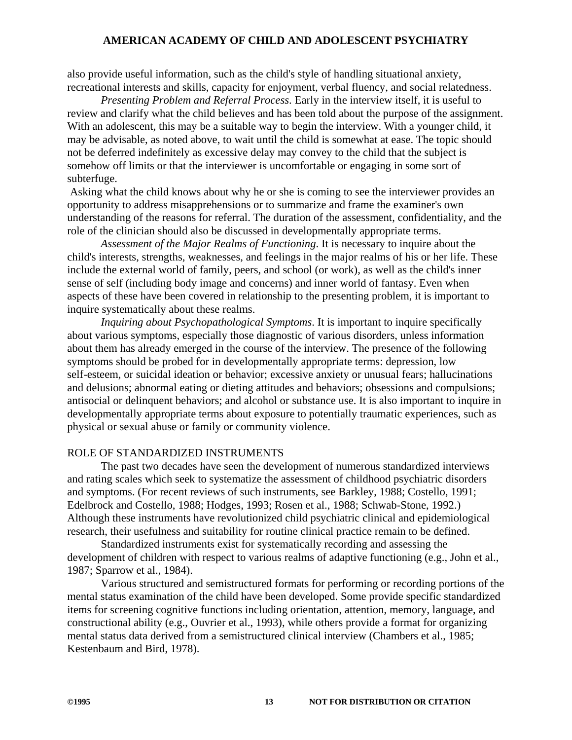also provide useful information, such as the child's style of handling situational anxiety, recreational interests and skills, capacity for enjoyment, verbal fluency, and social relatedness.

 *Presenting Problem and Referral Process*. Early in the interview itself, it is useful to review and clarify what the child believes and has been told about the purpose of the assignment. With an adolescent, this may be a suitable way to begin the interview. With a younger child, it may be advisable, as noted above, to wait until the child is somewhat at ease. The topic should not be deferred indefinitely as excessive delay may convey to the child that the subject is somehow off limits or that the interviewer is uncomfortable or engaging in some sort of subterfuge.

 Asking what the child knows about why he or she is coming to see the interviewer provides an opportunity to address misapprehensions or to summarize and frame the examiner's own understanding of the reasons for referral. The duration of the assessment, confidentiality, and the role of the clinician should also be discussed in developmentally appropriate terms.

*Assessment of the Major Realms of Functioning*. It is necessary to inquire about the child's interests, strengths, weaknesses, and feelings in the major realms of his or her life. These include the external world of family, peers, and school (or work), as well as the child's inner sense of self (including body image and concerns) and inner world of fantasy. Even when aspects of these have been covered in relationship to the presenting problem, it is important to inquire systematically about these realms.

*Inquiring about Psychopathological Symptoms*. It is important to inquire specifically about various symptoms, especially those diagnostic of various disorders, unless information about them has already emerged in the course of the interview. The presence of the following symptoms should be probed for in developmentally appropriate terms: depression, low self-esteem, or suicidal ideation or behavior; excessive anxiety or unusual fears; hallucinations and delusions; abnormal eating or dieting attitudes and behaviors; obsessions and compulsions; antisocial or delinquent behaviors; and alcohol or substance use. It is also important to inquire in developmentally appropriate terms about exposure to potentially traumatic experiences, such as physical or sexual abuse or family or community violence.

### ROLE OF STANDARDIZED INSTRUMENTS

The past two decades have seen the development of numerous standardized interviews and rating scales which seek to systematize the assessment of childhood psychiatric disorders and symptoms. (For recent reviews of such instruments, see Barkley, 1988; Costello, 1991; Edelbrock and Costello, 1988; Hodges, 1993; Rosen et al., 1988; Schwab-Stone, 1992.) Although these instruments have revolutionized child psychiatric clinical and epidemiological research, their usefulness and suitability for routine clinical practice remain to be defined.

Standardized instruments exist for systematically recording and assessing the development of children with respect to various realms of adaptive functioning (e.g., John et al., 1987; Sparrow et al., 1984).

Various structured and semistructured formats for performing or recording portions of the mental status examination of the child have been developed. Some provide specific standardized items for screening cognitive functions including orientation, attention, memory, language, and constructional ability (e.g., Ouvrier et al., 1993), while others provide a format for organizing mental status data derived from a semistructured clinical interview (Chambers et al., 1985; Kestenbaum and Bird, 1978).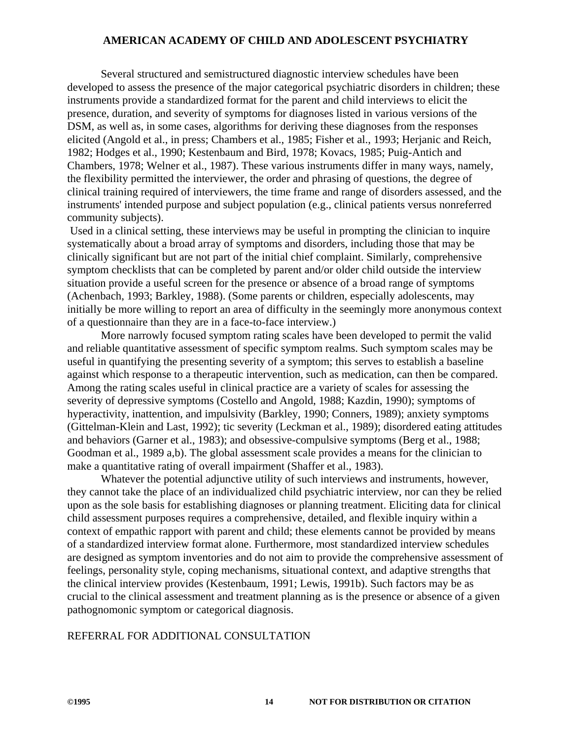Several structured and semistructured diagnostic interview schedules have been developed to assess the presence of the major categorical psychiatric disorders in children; these instruments provide a standardized format for the parent and child interviews to elicit the presence, duration, and severity of symptoms for diagnoses listed in various versions of the DSM, as well as, in some cases, algorithms for deriving these diagnoses from the responses elicited (Angold et al., in press; Chambers et al., 1985; Fisher et al., 1993; Herjanic and Reich, 1982; Hodges et al., 1990; Kestenbaum and Bird, 1978; Kovacs, 1985; Puig-Antich and Chambers, 1978; Welner et al., 1987). These various instruments differ in many ways, namely, the flexibility permitted the interviewer, the order and phrasing of questions, the degree of clinical training required of interviewers, the time frame and range of disorders assessed, and the instruments' intended purpose and subject population (e.g., clinical patients versus nonreferred community subjects).

 Used in a clinical setting, these interviews may be useful in prompting the clinician to inquire systematically about a broad array of symptoms and disorders, including those that may be clinically significant but are not part of the initial chief complaint. Similarly, comprehensive symptom checklists that can be completed by parent and/or older child outside the interview situation provide a useful screen for the presence or absence of a broad range of symptoms (Achenbach, 1993; Barkley, 1988). (Some parents or children, especially adolescents, may initially be more willing to report an area of difficulty in the seemingly more anonymous context of a questionnaire than they are in a face-to-face interview.)

More narrowly focused symptom rating scales have been developed to permit the valid and reliable quantitative assessment of specific symptom realms. Such symptom scales may be useful in quantifying the presenting severity of a symptom; this serves to establish a baseline against which response to a therapeutic intervention, such as medication, can then be compared. Among the rating scales useful in clinical practice are a variety of scales for assessing the severity of depressive symptoms (Costello and Angold, 1988; Kazdin, 1990); symptoms of hyperactivity, inattention, and impulsivity (Barkley, 1990; Conners, 1989); anxiety symptoms (Gittelman-Klein and Last, 1992); tic severity (Leckman et al., 1989); disordered eating attitudes and behaviors (Garner et al., 1983); and obsessive-compulsive symptoms (Berg et al., 1988; Goodman et al., 1989 a,b). The global assessment scale provides a means for the clinician to make a quantitative rating of overall impairment (Shaffer et al., 1983).

Whatever the potential adjunctive utility of such interviews and instruments, however, they cannot take the place of an individualized child psychiatric interview, nor can they be relied upon as the sole basis for establishing diagnoses or planning treatment. Eliciting data for clinical child assessment purposes requires a comprehensive, detailed, and flexible inquiry within a context of empathic rapport with parent and child; these elements cannot be provided by means of a standardized interview format alone. Furthermore, most standardized interview schedules are designed as symptom inventories and do not aim to provide the comprehensive assessment of feelings, personality style, coping mechanisms, situational context, and adaptive strengths that the clinical interview provides (Kestenbaum, 1991; Lewis, 1991b). Such factors may be as crucial to the clinical assessment and treatment planning as is the presence or absence of a given pathognomonic symptom or categorical diagnosis.

#### REFERRAL FOR ADDITIONAL CONSULTATION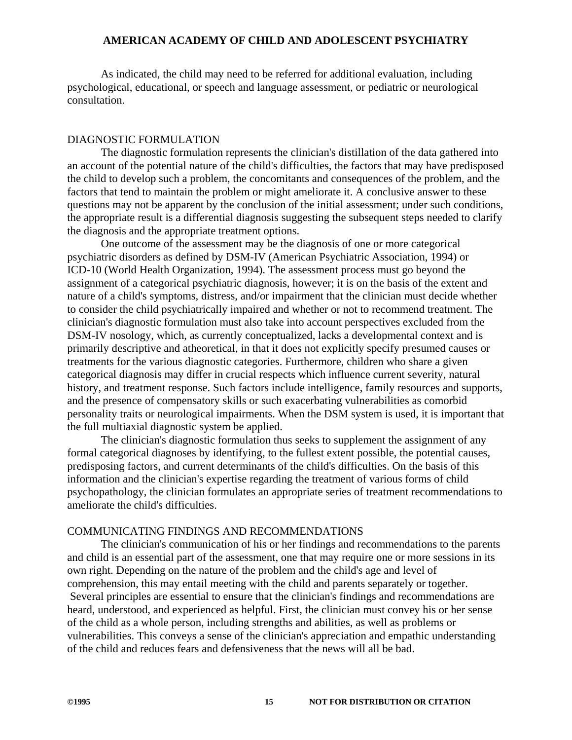As indicated, the child may need to be referred for additional evaluation, including psychological, educational, or speech and language assessment, or pediatric or neurological consultation.

## DIAGNOSTIC FORMULATION

The diagnostic formulation represents the clinician's distillation of the data gathered into an account of the potential nature of the child's difficulties, the factors that may have predisposed the child to develop such a problem, the concomitants and consequences of the problem, and the factors that tend to maintain the problem or might ameliorate it. A conclusive answer to these questions may not be apparent by the conclusion of the initial assessment; under such conditions, the appropriate result is a differential diagnosis suggesting the subsequent steps needed to clarify the diagnosis and the appropriate treatment options.

One outcome of the assessment may be the diagnosis of one or more categorical psychiatric disorders as defined by DSM-IV (American Psychiatric Association, 1994) or ICD-10 (World Health Organization, 1994). The assessment process must go beyond the assignment of a categorical psychiatric diagnosis, however; it is on the basis of the extent and nature of a child's symptoms, distress, and/or impairment that the clinician must decide whether to consider the child psychiatrically impaired and whether or not to recommend treatment. The clinician's diagnostic formulation must also take into account perspectives excluded from the DSM-IV nosology, which, as currently conceptualized, lacks a developmental context and is primarily descriptive and atheoretical, in that it does not explicitly specify presumed causes or treatments for the various diagnostic categories. Furthermore, children who share a given categorical diagnosis may differ in crucial respects which influence current severity, natural history, and treatment response. Such factors include intelligence, family resources and supports, and the presence of compensatory skills or such exacerbating vulnerabilities as comorbid personality traits or neurological impairments. When the DSM system is used, it is important that the full multiaxial diagnostic system be applied.

The clinician's diagnostic formulation thus seeks to supplement the assignment of any formal categorical diagnoses by identifying, to the fullest extent possible, the potential causes, predisposing factors, and current determinants of the child's difficulties. On the basis of this information and the clinician's expertise regarding the treatment of various forms of child psychopathology, the clinician formulates an appropriate series of treatment recommendations to ameliorate the child's difficulties.

### COMMUNICATING FINDINGS AND RECOMMENDATIONS

The clinician's communication of his or her findings and recommendations to the parents and child is an essential part of the assessment, one that may require one or more sessions in its own right. Depending on the nature of the problem and the child's age and level of comprehension, this may entail meeting with the child and parents separately or together. Several principles are essential to ensure that the clinician's findings and recommendations are heard, understood, and experienced as helpful. First, the clinician must convey his or her sense of the child as a whole person, including strengths and abilities, as well as problems or vulnerabilities. This conveys a sense of the clinician's appreciation and empathic understanding of the child and reduces fears and defensiveness that the news will all be bad.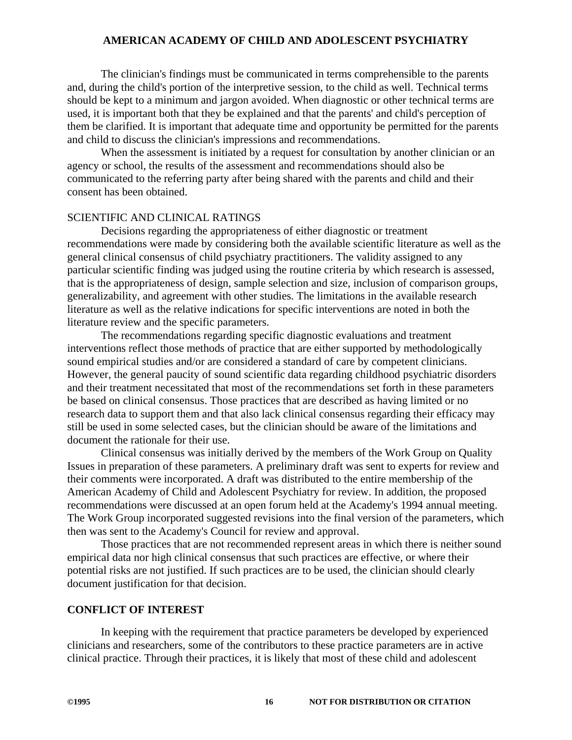The clinician's findings must be communicated in terms comprehensible to the parents and, during the child's portion of the interpretive session, to the child as well. Technical terms should be kept to a minimum and jargon avoided. When diagnostic or other technical terms are used, it is important both that they be explained and that the parents' and child's perception of them be clarified. It is important that adequate time and opportunity be permitted for the parents and child to discuss the clinician's impressions and recommendations.

When the assessment is initiated by a request for consultation by another clinician or an agency or school, the results of the assessment and recommendations should also be communicated to the referring party after being shared with the parents and child and their consent has been obtained.

## SCIENTIFIC AND CLINICAL RATINGS

Decisions regarding the appropriateness of either diagnostic or treatment recommendations were made by considering both the available scientific literature as well as the general clinical consensus of child psychiatry practitioners. The validity assigned to any particular scientific finding was judged using the routine criteria by which research is assessed, that is the appropriateness of design, sample selection and size, inclusion of comparison groups, generalizability, and agreement with other studies. The limitations in the available research literature as well as the relative indications for specific interventions are noted in both the literature review and the specific parameters.

The recommendations regarding specific diagnostic evaluations and treatment interventions reflect those methods of practice that are either supported by methodologically sound empirical studies and/or are considered a standard of care by competent clinicians. However, the general paucity of sound scientific data regarding childhood psychiatric disorders and their treatment necessitated that most of the recommendations set forth in these parameters be based on clinical consensus. Those practices that are described as having limited or no research data to support them and that also lack clinical consensus regarding their efficacy may still be used in some selected cases, but the clinician should be aware of the limitations and document the rationale for their use.

Clinical consensus was initially derived by the members of the Work Group on Quality Issues in preparation of these parameters. A preliminary draft was sent to experts for review and their comments were incorporated. A draft was distributed to the entire membership of the American Academy of Child and Adolescent Psychiatry for review. In addition, the proposed recommendations were discussed at an open forum held at the Academy's 1994 annual meeting. The Work Group incorporated suggested revisions into the final version of the parameters, which then was sent to the Academy's Council for review and approval.

Those practices that are not recommended represent areas in which there is neither sound empirical data nor high clinical consensus that such practices are effective, or where their potential risks are not justified. If such practices are to be used, the clinician should clearly document justification for that decision.

### **CONFLICT OF INTEREST**

In keeping with the requirement that practice parameters be developed by experienced clinicians and researchers, some of the contributors to these practice parameters are in active clinical practice. Through their practices, it is likely that most of these child and adolescent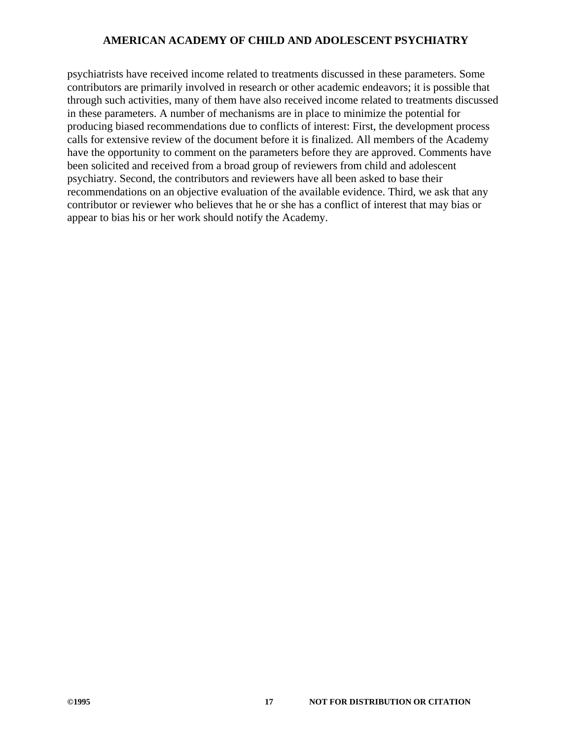psychiatrists have received income related to treatments discussed in these parameters. Some contributors are primarily involved in research or other academic endeavors; it is possible that through such activities, many of them have also received income related to treatments discussed in these parameters. A number of mechanisms are in place to minimize the potential for producing biased recommendations due to conflicts of interest: First, the development process calls for extensive review of the document before it is finalized. All members of the Academy have the opportunity to comment on the parameters before they are approved. Comments have been solicited and received from a broad group of reviewers from child and adolescent psychiatry. Second, the contributors and reviewers have all been asked to base their recommendations on an objective evaluation of the available evidence. Third, we ask that any contributor or reviewer who believes that he or she has a conflict of interest that may bias or appear to bias his or her work should notify the Academy.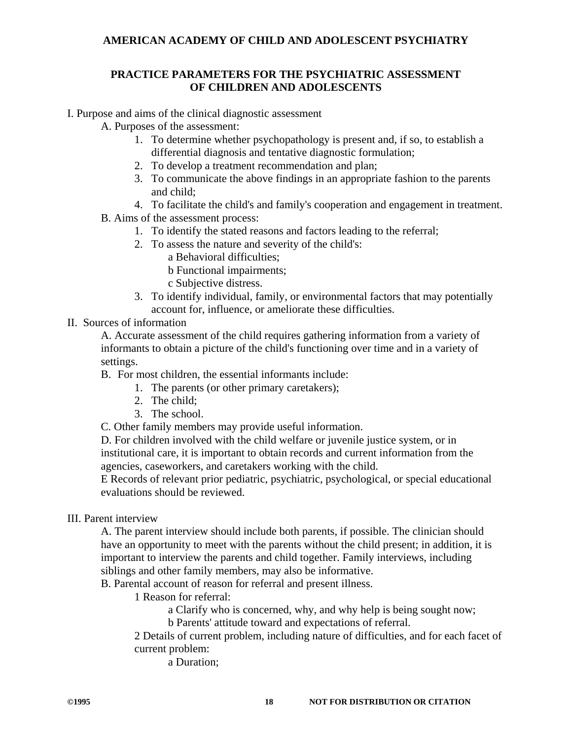# **PRACTICE PARAMETERS FOR THE PSYCHIATRIC ASSESSMENT OF CHILDREN AND ADOLESCENTS**

I. Purpose and aims of the clinical diagnostic assessment

A. Purposes of the assessment:

- 1. To determine whether psychopathology is present and, if so, to establish a differential diagnosis and tentative diagnostic formulation;
- 2. To develop a treatment recommendation and plan;
- 3. To communicate the above findings in an appropriate fashion to the parents and child;
- 4. To facilitate the child's and family's cooperation and engagement in treatment.
- B. Aims of the assessment process:
	- 1. To identify the stated reasons and factors leading to the referral;
	- 2. To assess the nature and severity of the child's:
		- a Behavioral difficulties;
		- b Functional impairments;
		- c Subjective distress.
	- 3. To identify individual, family, or environmental factors that may potentially account for, influence, or ameliorate these difficulties.

## II. Sources of information

A. Accurate assessment of the child requires gathering information from a variety of informants to obtain a picture of the child's functioning over time and in a variety of settings.

- B. For most children, the essential informants include:
	- 1. The parents (or other primary caretakers);
	- 2. The child;
	- 3. The school.

C. Other family members may provide useful information.

D. For children involved with the child welfare or juvenile justice system, or in institutional care, it is important to obtain records and current information from the agencies, caseworkers, and caretakers working with the child.

E Records of relevant prior pediatric, psychiatric, psychological, or special educational evaluations should be reviewed.

### III. Parent interview

A. The parent interview should include both parents, if possible. The clinician should have an opportunity to meet with the parents without the child present; in addition, it is important to interview the parents and child together. Family interviews, including siblings and other family members, may also be informative.

B. Parental account of reason for referral and present illness.

1 Reason for referral:

a Clarify who is concerned, why, and why help is being sought now;

b Parents' attitude toward and expectations of referral.

2 Details of current problem, including nature of difficulties, and for each facet of current problem:

a Duration;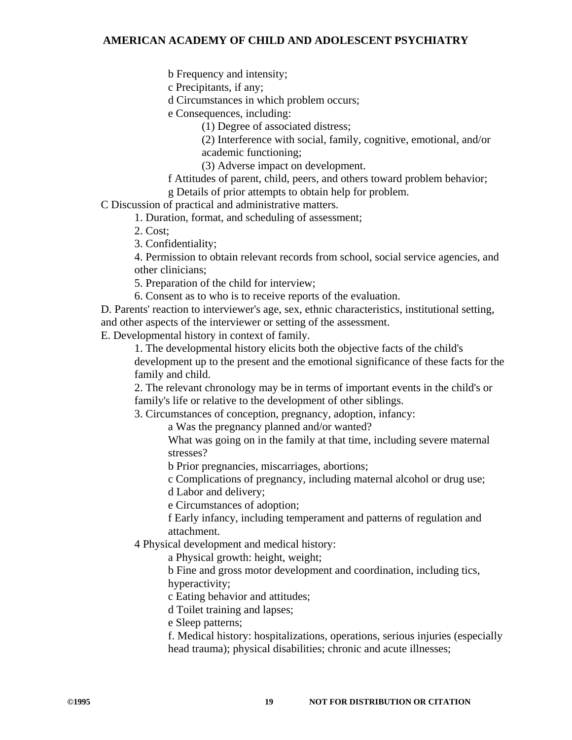b Frequency and intensity;

c Precipitants, if any;

d Circumstances in which problem occurs;

e Consequences, including:

(1) Degree of associated distress;

(2) Interference with social, family, cognitive, emotional, and/or

academic functioning;

(3) Adverse impact on development.

f Attitudes of parent, child, peers, and others toward problem behavior;

g Details of prior attempts to obtain help for problem.

C Discussion of practical and administrative matters.

1. Duration, format, and scheduling of assessment;

2. Cost;

3. Confidentiality;

4. Permission to obtain relevant records from school, social service agencies, and other clinicians;

5. Preparation of the child for interview;

6. Consent as to who is to receive reports of the evaluation.

D. Parents' reaction to interviewer's age, sex, ethnic characteristics, institutional setting, and other aspects of the interviewer or setting of the assessment.

E. Developmental history in context of family.

1. The developmental history elicits both the objective facts of the child's development up to the present and the emotional significance of these facts for the family and child.

2. The relevant chronology may be in terms of important events in the child's or family's life or relative to the development of other siblings.

3. Circumstances of conception, pregnancy, adoption, infancy:

a Was the pregnancy planned and/or wanted?

What was going on in the family at that time, including severe maternal stresses?

b Prior pregnancies, miscarriages, abortions;

c Complications of pregnancy, including maternal alcohol or drug use;

d Labor and delivery;

e Circumstances of adoption;

f Early infancy, including temperament and patterns of regulation and attachment.

4 Physical development and medical history:

a Physical growth: height, weight;

b Fine and gross motor development and coordination, including tics, hyperactivity;

c Eating behavior and attitudes;

d Toilet training and lapses;

e Sleep patterns;

f. Medical history: hospitalizations, operations, serious injuries (especially head trauma); physical disabilities; chronic and acute illnesses;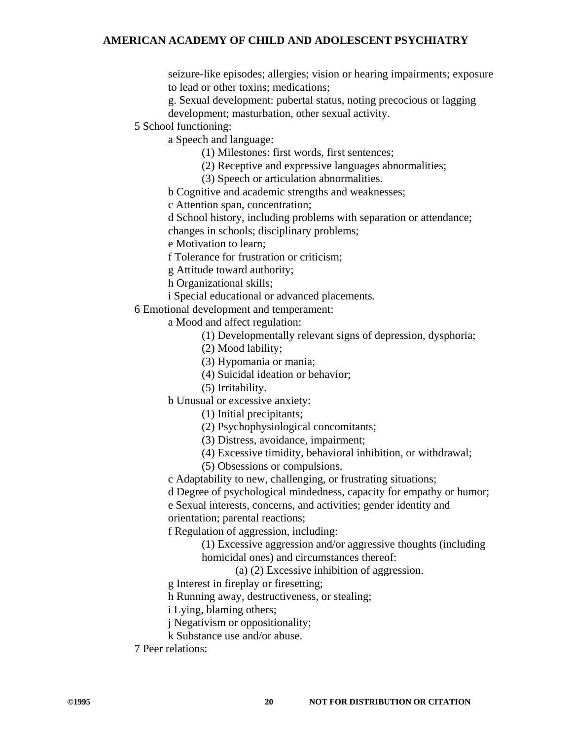seizure-like episodes; allergies; vision or hearing impairments; exposure to lead or other toxins; medications;

g. Sexual development: pubertal status, noting precocious or lagging development; masturbation, other sexual activity.

5 School functioning:

a Speech and language:

- (1) Milestones: first words, first sentences;
- (2) Receptive and expressive languages abnormalities;
- (3) Speech or articulation abnormalities.
- b Cognitive and academic strengths and weaknesses;

c Attention span, concentration;

d School history, including problems with separation or attendance;

changes in schools; disciplinary problems;

e Motivation to learn;

f Tolerance for frustration or criticism;

g Attitude toward authority;

h Organizational skills;

- i Special educational or advanced placements.
- 6 Emotional development and temperament:

a Mood and affect regulation:

- (1) Developmentally relevant signs of depression, dysphoria;
- (2) Mood lability;
- (3) Hypomania or mania;
- (4) Suicidal ideation or behavior;
- (5) Irritability.

b Unusual or excessive anxiety:

- (1) Initial precipitants;
- (2) Psychophysiological concomitants;
- (3) Distress, avoidance, impairment;
- (4) Excessive timidity, behavioral inhibition, or withdrawal;
- (5) Obsessions or compulsions.

c Adaptability to new, challenging, or frustrating situations;

d Degree of psychological mindedness, capacity for empathy or humor;

e Sexual interests, concerns, and activities; gender identity and orientation; parental reactions;

f Regulation of aggression, including:

(1) Excessive aggression and/or aggressive thoughts (including homicidal ones) and circumstances thereof:

(a) (2) Excessive inhibition of aggression.

g Interest in fireplay or firesetting;

h Running away, destructiveness, or stealing;

i Lying, blaming others;

j Negativism or oppositionality;

k Substance use and/or abuse.

7 Peer relations: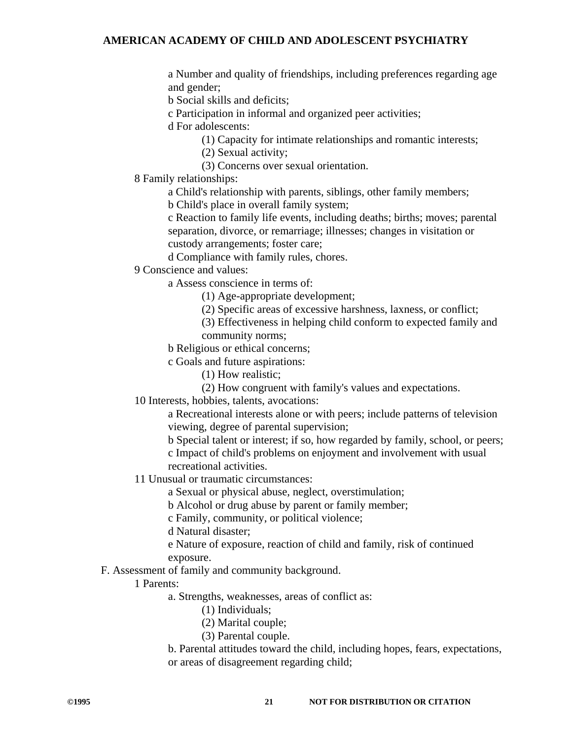a Number and quality of friendships, including preferences regarding age and gender;

b Social skills and deficits;

c Participation in informal and organized peer activities;

d For adolescents:

(1) Capacity for intimate relationships and romantic interests;

(2) Sexual activity;

(3) Concerns over sexual orientation.

8 Family relationships:

a Child's relationship with parents, siblings, other family members;

b Child's place in overall family system;

c Reaction to family life events, including deaths; births; moves; parental separation, divorce, or remarriage; illnesses; changes in visitation or custody arrangements; foster care;

d Compliance with family rules, chores.

9 Conscience and values:

a Assess conscience in terms of:

(1) Age-appropriate development;

(2) Specific areas of excessive harshness, laxness, or conflict;

(3) Effectiveness in helping child conform to expected family and community norms;

b Religious or ethical concerns;

- c Goals and future aspirations:
	- (1) How realistic;
	- (2) How congruent with family's values and expectations.

10 Interests, hobbies, talents, avocations:

a Recreational interests alone or with peers; include patterns of television viewing, degree of parental supervision;

b Special talent or interest; if so, how regarded by family, school, or peers; c Impact of child's problems on enjoyment and involvement with usual recreational activities.

11 Unusual or traumatic circumstances:

a Sexual or physical abuse, neglect, overstimulation;

b Alcohol or drug abuse by parent or family member;

c Family, community, or political violence;

d Natural disaster;

e Nature of exposure, reaction of child and family, risk of continued exposure.

F. Assessment of family and community background.

1 Parents:

a. Strengths, weaknesses, areas of conflict as:

- (1) Individuals;
- (2) Marital couple;
- (3) Parental couple.

b. Parental attitudes toward the child, including hopes, fears, expectations, or areas of disagreement regarding child;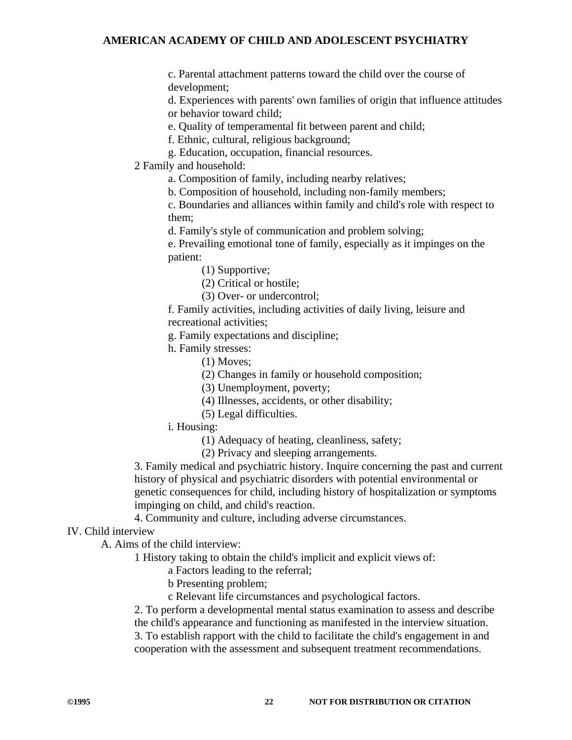c. Parental attachment patterns toward the child over the course of development;

d. Experiences with parents' own families of origin that influence attitudes or behavior toward child;

e. Quality of temperamental fit between parent and child;

f. Ethnic, cultural, religious background;

g. Education, occupation, financial resources.

2 Family and household:

a. Composition of family, including nearby relatives;

b. Composition of household, including non-family members;

c. Boundaries and alliances within family and child's role with respect to them;

d. Family's style of communication and problem solving;

e. Prevailing emotional tone of family, especially as it impinges on the patient:

(1) Supportive;

(2) Critical or hostile;

(3) Over- or undercontrol;

f. Family activities, including activities of daily living, leisure and recreational activities;

g. Family expectations and discipline;

h. Family stresses:

(1) Moves;

(2) Changes in family or household composition;

(3) Unemployment, poverty;

(4) Illnesses, accidents, or other disability;

(5) Legal difficulties.

i. Housing:

(1) Adequacy of heating, cleanliness, safety;

(2) Privacy and sleeping arrangements.

3. Family medical and psychiatric history. Inquire concerning the past and current history of physical and psychiatric disorders with potential environmental or genetic consequences for child, including history of hospitalization or symptoms impinging on child, and child's reaction.

4. Community and culture, including adverse circumstances.

IV. Child interview

A. Aims of the child interview:

1 History taking to obtain the child's implicit and explicit views of:

a Factors leading to the referral;

b Presenting problem;

c Relevant life circumstances and psychological factors.

2. To perform a developmental mental status examination to assess and describe the child's appearance and functioning as manifested in the interview situation.

3. To establish rapport with the child to facilitate the child's engagement in and cooperation with the assessment and subsequent treatment recommendations.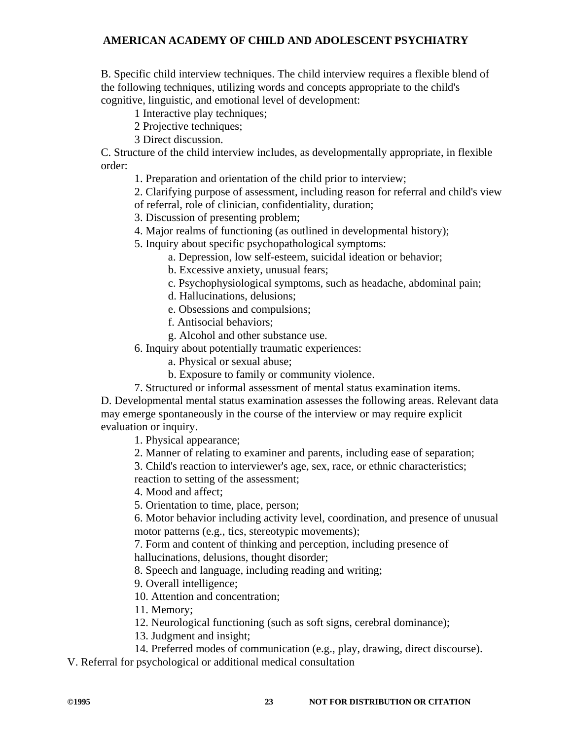B. Specific child interview techniques. The child interview requires a flexible blend of the following techniques, utilizing words and concepts appropriate to the child's cognitive, linguistic, and emotional level of development:

1 Interactive play techniques;

2 Projective techniques;

3 Direct discussion.

C. Structure of the child interview includes, as developmentally appropriate, in flexible order:

1. Preparation and orientation of the child prior to interview;

2. Clarifying purpose of assessment, including reason for referral and child's view of referral, role of clinician, confidentiality, duration;

3. Discussion of presenting problem;

4. Major realms of functioning (as outlined in developmental history);

5. Inquiry about specific psychopathological symptoms:

a. Depression, low self-esteem, suicidal ideation or behavior;

b. Excessive anxiety, unusual fears;

c. Psychophysiological symptoms, such as headache, abdominal pain;

d. Hallucinations, delusions;

e. Obsessions and compulsions;

f. Antisocial behaviors;

g. Alcohol and other substance use.

6. Inquiry about potentially traumatic experiences:

a. Physical or sexual abuse;

b. Exposure to family or community violence.

7. Structured or informal assessment of mental status examination items.

D. Developmental mental status examination assesses the following areas. Relevant data may emerge spontaneously in the course of the interview or may require explicit evaluation or inquiry.

1. Physical appearance;

2. Manner of relating to examiner and parents, including ease of separation;

3. Child's reaction to interviewer's age, sex, race, or ethnic characteristics; reaction to setting of the assessment;

4. Mood and affect;

5. Orientation to time, place, person;

6. Motor behavior including activity level, coordination, and presence of unusual motor patterns (e.g., tics, stereotypic movements);

7. Form and content of thinking and perception, including presence of hallucinations, delusions, thought disorder;

8. Speech and language, including reading and writing;

9. Overall intelligence;

10. Attention and concentration;

11. Memory;

12. Neurological functioning (such as soft signs, cerebral dominance);

13. Judgment and insight;

14. Preferred modes of communication (e.g., play, drawing, direct discourse).

V. Referral for psychological or additional medical consultation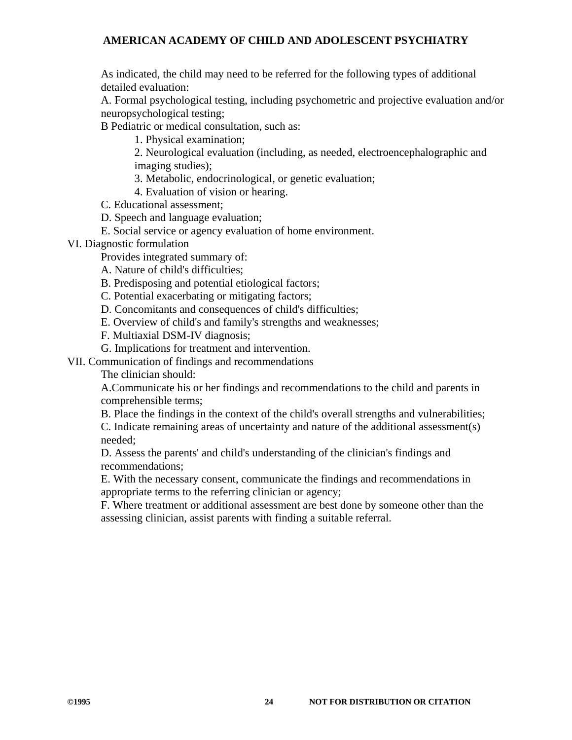As indicated, the child may need to be referred for the following types of additional detailed evaluation:

A. Formal psychological testing, including psychometric and projective evaluation and/or neuropsychological testing;

B Pediatric or medical consultation, such as:

1. Physical examination;

2. Neurological evaluation (including, as needed, electroencephalographic and imaging studies);

3. Metabolic, endocrinological, or genetic evaluation;

4. Evaluation of vision or hearing.

- C. Educational assessment;
- D. Speech and language evaluation;
- E. Social service or agency evaluation of home environment.

VI. Diagnostic formulation

Provides integrated summary of:

A. Nature of child's difficulties;

B. Predisposing and potential etiological factors;

C. Potential exacerbating or mitigating factors;

D. Concomitants and consequences of child's difficulties;

E. Overview of child's and family's strengths and weaknesses;

F. Multiaxial DSM-IV diagnosis;

G. Implications for treatment and intervention.

VII. Communication of findings and recommendations

The clinician should:

A.Communicate his or her findings and recommendations to the child and parents in comprehensible terms;

B. Place the findings in the context of the child's overall strengths and vulnerabilities;

C. Indicate remaining areas of uncertainty and nature of the additional assessment(s) needed;

D. Assess the parents' and child's understanding of the clinician's findings and recommendations;

E. With the necessary consent, communicate the findings and recommendations in appropriate terms to the referring clinician or agency;

F. Where treatment or additional assessment are best done by someone other than the assessing clinician, assist parents with finding a suitable referral.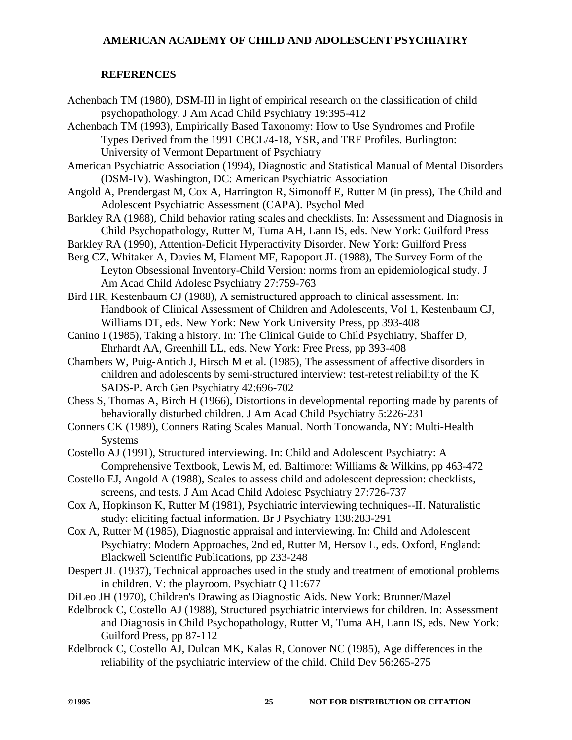# **REFERENCES**

- Achenbach TM (1980), DSM-III in light of empirical research on the classification of child psychopathology. J Am Acad Child Psychiatry 19:395-412
- Achenbach TM (1993), Empirically Based Taxonomy: How to Use Syndromes and Profile Types Derived from the 1991 CBCL/4-18, YSR, and TRF Profiles. Burlington: University of Vermont Department of Psychiatry
- American Psychiatric Association (1994), Diagnostic and Statistical Manual of Mental Disorders (DSM-IV). Washington, DC: American Psychiatric Association
- Angold A, Prendergast M, Cox A, Harrington R, Simonoff E, Rutter M (in press), The Child and Adolescent Psychiatric Assessment (CAPA). Psychol Med
- Barkley RA (1988), Child behavior rating scales and checklists. In: Assessment and Diagnosis in Child Psychopathology, Rutter M, Tuma AH, Lann IS, eds. New York: Guilford Press
- Barkley RA (1990), Attention-Deficit Hyperactivity Disorder. New York: Guilford Press
- Berg CZ, Whitaker A, Davies M, Flament MF, Rapoport JL (1988), The Survey Form of the Leyton Obsessional Inventory-Child Version: norms from an epidemiological study. J Am Acad Child Adolesc Psychiatry 27:759-763
- Bird HR, Kestenbaum CJ (1988), A semistructured approach to clinical assessment. In: Handbook of Clinical Assessment of Children and Adolescents, Vol 1, Kestenbaum CJ, Williams DT, eds. New York: New York University Press, pp 393-408
- Canino I (1985), Taking a history. In: The Clinical Guide to Child Psychiatry, Shaffer D, Ehrhardt AA, Greenhill LL, eds. New York: Free Press, pp 393-408
- Chambers W, Puig-Antich J, Hirsch M et al. (1985), The assessment of affective disorders in children and adolescents by semi-structured interview: test-retest reliability of the K SADS-P. Arch Gen Psychiatry 42:696-702
- Chess S, Thomas A, Birch H (1966), Distortions in developmental reporting made by parents of behaviorally disturbed children. J Am Acad Child Psychiatry 5:226-231
- Conners CK (1989), Conners Rating Scales Manual. North Tonowanda, NY: Multi-Health Systems
- Costello AJ (1991), Structured interviewing. In: Child and Adolescent Psychiatry: A Comprehensive Textbook, Lewis M, ed. Baltimore: Williams & Wilkins, pp 463-472
- Costello EJ, Angold A (1988), Scales to assess child and adolescent depression: checklists, screens, and tests. J Am Acad Child Adolesc Psychiatry 27:726-737
- Cox A, Hopkinson K, Rutter M (1981), Psychiatric interviewing techniques--II. Naturalistic study: eliciting factual information. Br J Psychiatry 138:283-291
- Cox A, Rutter M (1985), Diagnostic appraisal and interviewing. In: Child and Adolescent Psychiatry: Modern Approaches, 2nd ed, Rutter M, Hersov L, eds. Oxford, England: Blackwell Scientific Publications, pp 233-248
- Despert JL (1937), Technical approaches used in the study and treatment of emotional problems in children. V: the playroom. Psychiatr Q 11:677
- DiLeo JH (1970), Children's Drawing as Diagnostic Aids. New York: Brunner/Mazel
- Edelbrock C, Costello AJ (1988), Structured psychiatric interviews for children. In: Assessment and Diagnosis in Child Psychopathology, Rutter M, Tuma AH, Lann IS, eds. New York: Guilford Press, pp 87-112
- Edelbrock C, Costello AJ, Dulcan MK, Kalas R, Conover NC (1985), Age differences in the reliability of the psychiatric interview of the child. Child Dev 56:265-275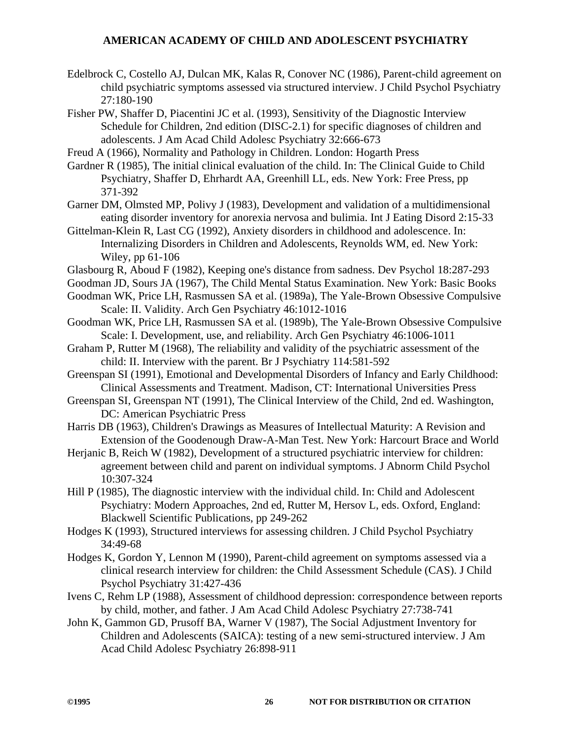- Edelbrock C, Costello AJ, Dulcan MK, Kalas R, Conover NC (1986), Parent-child agreement on child psychiatric symptoms assessed via structured interview. J Child Psychol Psychiatry 27:180-190
- Fisher PW, Shaffer D, Piacentini JC et al. (1993), Sensitivity of the Diagnostic Interview Schedule for Children, 2nd edition (DISC-2.1) for specific diagnoses of children and adolescents. J Am Acad Child Adolesc Psychiatry 32:666-673
- Freud A (1966), Normality and Pathology in Children. London: Hogarth Press
- Gardner R (1985), The initial clinical evaluation of the child. In: The Clinical Guide to Child Psychiatry, Shaffer D, Ehrhardt AA, Greenhill LL, eds. New York: Free Press, pp 371-392
- Garner DM, Olmsted MP, Polivy J (1983), Development and validation of a multidimensional eating disorder inventory for anorexia nervosa and bulimia. Int J Eating Disord 2:15-33
- Gittelman-Klein R, Last CG (1992), Anxiety disorders in childhood and adolescence. In: Internalizing Disorders in Children and Adolescents, Reynolds WM, ed. New York: Wiley, pp 61-106
- Glasbourg R, Aboud F (1982), Keeping one's distance from sadness. Dev Psychol 18:287-293
- Goodman JD, Sours JA (1967), The Child Mental Status Examination. New York: Basic Books
- Goodman WK, Price LH, Rasmussen SA et al. (1989a), The Yale-Brown Obsessive Compulsive Scale: II. Validity. Arch Gen Psychiatry 46:1012-1016
- Goodman WK, Price LH, Rasmussen SA et al. (1989b), The Yale-Brown Obsessive Compulsive Scale: I. Development, use, and reliability. Arch Gen Psychiatry 46:1006-1011
- Graham P, Rutter M (1968), The reliability and validity of the psychiatric assessment of the child: II. Interview with the parent. Br J Psychiatry 114:581-592
- Greenspan SI (1991), Emotional and Developmental Disorders of Infancy and Early Childhood: Clinical Assessments and Treatment. Madison, CT: International Universities Press
- Greenspan SI, Greenspan NT (1991), The Clinical Interview of the Child, 2nd ed. Washington, DC: American Psychiatric Press
- Harris DB (1963), Children's Drawings as Measures of Intellectual Maturity: A Revision and Extension of the Goodenough Draw-A-Man Test. New York: Harcourt Brace and World
- Herjanic B, Reich W (1982), Development of a structured psychiatric interview for children: agreement between child and parent on individual symptoms. J Abnorm Child Psychol 10:307-324
- Hill P (1985), The diagnostic interview with the individual child. In: Child and Adolescent Psychiatry: Modern Approaches, 2nd ed, Rutter M, Hersov L, eds. Oxford, England: Blackwell Scientific Publications, pp 249-262
- Hodges K (1993), Structured interviews for assessing children. J Child Psychol Psychiatry 34:49-68
- Hodges K, Gordon Y, Lennon M (1990), Parent-child agreement on symptoms assessed via a clinical research interview for children: the Child Assessment Schedule (CAS). J Child Psychol Psychiatry 31:427-436
- Ivens C, Rehm LP (1988), Assessment of childhood depression: correspondence between reports by child, mother, and father. J Am Acad Child Adolesc Psychiatry 27:738-741
- John K, Gammon GD, Prusoff BA, Warner V (1987), The Social Adjustment Inventory for Children and Adolescents (SAICA): testing of a new semi-structured interview. J Am Acad Child Adolesc Psychiatry 26:898-911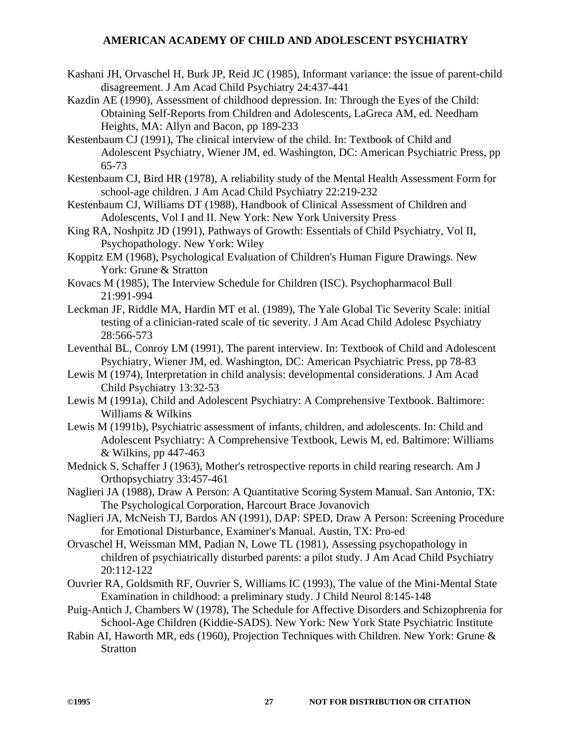- Kashani JH, Orvaschel H, Burk JP, Reid JC (1985), Informant variance: the issue of parent-child disagreement. J Am Acad Child Psychiatry 24:437-441
- Kazdin AE (1990), Assessment of childhood depression. In: Through the Eyes of the Child: Obtaining Self-Reports from Children and Adolescents, LaGreca AM, ed. Needham Heights, MA: Allyn and Bacon, pp 189-233
- Kestenbaum CJ (1991), The clinical interview of the child. In: Textbook of Child and Adolescent Psychiatry, Wiener JM, ed. Washington, DC: American Psychiatric Press, pp 65-73
- Kestenbaum CJ, Bird HR (1978), A reliability study of the Mental Health Assessment Form for school-age children. J Am Acad Child Psychiatry 22:219-232
- Kestenbaum CJ, Williams DT (1988), Handbook of Clinical Assessment of Children and Adolescents, Vol I and II. New York: New York University Press
- King RA, Noshpitz JD (1991), Pathways of Growth: Essentials of Child Psychiatry, Vol II, Psychopathology. New York: Wiley
- Koppitz EM (1968), Psychological Evaluation of Children's Human Figure Drawings. New York: Grune & Stratton
- Kovacs M (1985), The Interview Schedule for Children (ISC). Psychopharmacol Bull 21:991-994
- Leckman JF, Riddle MA, Hardin MT et al. (1989), The Yale Global Tic Severity Scale: initial testing of a clinician-rated scale of tic severity. J Am Acad Child Adolesc Psychiatry 28:566-573
- Leventhal BL, Conroy LM (1991), The parent interview. In: Textbook of Child and Adolescent Psychiatry, Wiener JM, ed. Washington, DC: American Psychiatric Press, pp 78-83
- Lewis M (1974), Interpretation in child analysis: developmental considerations. J Am Acad Child Psychiatry 13:32-53
- Lewis M (1991a), Child and Adolescent Psychiatry: A Comprehensive Textbook. Baltimore: Williams & Wilkins
- Lewis M (1991b), Psychiatric assessment of infants, children, and adolescents. In: Child and Adolescent Psychiatry: A Comprehensive Textbook, Lewis M, ed. Baltimore: Williams & Wilkins, pp 447-463
- Mednick S, Schaffer J (1963), Mother's retrospective reports in child rearing research. Am J Orthopsychiatry 33:457-461
- Naglieri JA (1988), Draw A Person: A Quantitative Scoring System Manual. San Antonio, TX: The Psychological Corporation, Harcourt Brace Jovanovich
- Naglieri JA, McNeish TJ, Bardos AN (1991), DAP: SPED, Draw A Person: Screening Procedure for Emotional Disturbance, Examiner's Manual. Austin, TX: Pro-ed
- Orvaschel H, Weissman MM, Padian N, Lowe TL (1981), Assessing psychopathology in children of psychiatrically disturbed parents: a pilot study. J Am Acad Child Psychiatry 20:112-122
- Ouvrier RA, Goldsmith RF, Ouvrier S, Williams IC (1993), The value of the Mini-Mental State Examination in childhood: a preliminary study. J Child Neurol 8:145-148
- Puig-Antich J, Chambers W (1978), The Schedule for Affective Disorders and Schizophrenia for School-Age Children (Kiddie-SADS). New York: New York State Psychiatric Institute
- Rabin AI, Haworth MR, eds (1960), Projection Techniques with Children. New York: Grune & Stratton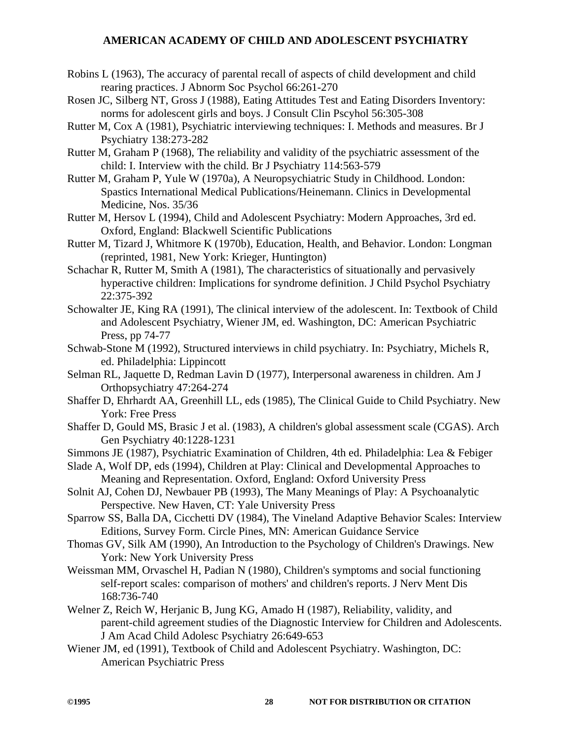- Robins L (1963), The accuracy of parental recall of aspects of child development and child rearing practices. J Abnorm Soc Psychol 66:261-270
- Rosen JC, Silberg NT, Gross J (1988), Eating Attitudes Test and Eating Disorders Inventory: norms for adolescent girls and boys. J Consult Clin Pscyhol 56:305-308
- Rutter M, Cox A (1981), Psychiatric interviewing techniques: I. Methods and measures. Br J Psychiatry 138:273-282
- Rutter M, Graham P (1968), The reliability and validity of the psychiatric assessment of the child: I. Interview with the child. Br J Psychiatry 114:563-579
- Rutter M, Graham P, Yule W (1970a), A Neuropsychiatric Study in Childhood. London: Spastics International Medical Publications/Heinemann. Clinics in Developmental Medicine, Nos. 35/36
- Rutter M, Hersov L (1994), Child and Adolescent Psychiatry: Modern Approaches, 3rd ed. Oxford, England: Blackwell Scientific Publications
- Rutter M, Tizard J, Whitmore K (1970b), Education, Health, and Behavior. London: Longman (reprinted, 1981, New York: Krieger, Huntington)
- Schachar R, Rutter M, Smith A (1981), The characteristics of situationally and pervasively hyperactive children: Implications for syndrome definition. J Child Psychol Psychiatry 22:375-392
- Schowalter JE, King RA (1991), The clinical interview of the adolescent. In: Textbook of Child and Adolescent Psychiatry, Wiener JM, ed. Washington, DC: American Psychiatric Press, pp 74-77
- Schwab-Stone M (1992), Structured interviews in child psychiatry. In: Psychiatry, Michels R, ed. Philadelphia: Lippincott
- Selman RL, Jaquette D, Redman Lavin D (1977), Interpersonal awareness in children. Am J Orthopsychiatry 47:264-274
- Shaffer D, Ehrhardt AA, Greenhill LL, eds (1985), The Clinical Guide to Child Psychiatry. New York: Free Press
- Shaffer D, Gould MS, Brasic J et al. (1983), A children's global assessment scale (CGAS). Arch Gen Psychiatry 40:1228-1231
- Simmons JE (1987), Psychiatric Examination of Children, 4th ed. Philadelphia: Lea & Febiger
- Slade A, Wolf DP, eds (1994), Children at Play: Clinical and Developmental Approaches to Meaning and Representation. Oxford, England: Oxford University Press
- Solnit AJ, Cohen DJ, Newbauer PB (1993), The Many Meanings of Play: A Psychoanalytic Perspective. New Haven, CT: Yale University Press
- Sparrow SS, Balla DA, Cicchetti DV (1984), The Vineland Adaptive Behavior Scales: Interview Editions, Survey Form. Circle Pines, MN: American Guidance Service
- Thomas GV, Silk AM (1990), An Introduction to the Psychology of Children's Drawings. New York: New York University Press
- Weissman MM, Orvaschel H, Padian N (1980), Children's symptoms and social functioning self-report scales: comparison of mothers' and children's reports. J Nerv Ment Dis 168:736-740
- Welner Z, Reich W, Herjanic B, Jung KG, Amado H (1987), Reliability, validity, and parent-child agreement studies of the Diagnostic Interview for Children and Adolescents. J Am Acad Child Adolesc Psychiatry 26:649-653
- Wiener JM, ed (1991), Textbook of Child and Adolescent Psychiatry. Washington, DC: American Psychiatric Press